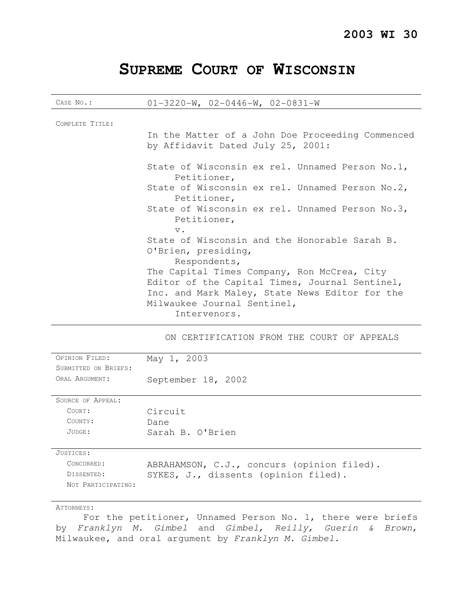# **SUPREME COURT OF WISCONSIN**

| CASE No.:                                                   | $01-3220-W$ , $02-0446-W$ , $02-0831-W$                                                                                                                                                                                                                                                         |
|-------------------------------------------------------------|-------------------------------------------------------------------------------------------------------------------------------------------------------------------------------------------------------------------------------------------------------------------------------------------------|
| COMPLETE TITLE:                                             | In the Matter of a John Doe Proceeding Commenced<br>by Affidavit Dated July 25, 2001:                                                                                                                                                                                                           |
|                                                             | State of Wisconsin ex rel. Unnamed Person No.1,<br>Petitioner,<br>State of Wisconsin ex rel. Unnamed Person No.2,<br>Petitioner,<br>State of Wisconsin ex rel. Unnamed Person No.3,<br>Petitioner,                                                                                              |
|                                                             | $V$ .<br>State of Wisconsin and the Honorable Sarah B.<br>O'Brien, presiding,<br>Respondents,<br>The Capital Times Company, Ron McCrea, City<br>Editor of the Capital Times, Journal Sentinel,<br>Inc. and Mark Maley, State News Editor for the<br>Milwaukee Journal Sentinel,<br>Intervenors. |
|                                                             | ON CERTIFICATION FROM THE COURT OF APPEALS                                                                                                                                                                                                                                                      |
| OPINION FILED:<br>SUBMITTED ON BRIEFS:<br>ORAL ARGUMENT:    | May 1, 2003<br>September 18, 2002                                                                                                                                                                                                                                                               |
| SOURCE OF APPEAL:<br>COURT:<br>COUNTY:<br>JUDGE:            | Circuit<br>Dane<br>Sarah B. O'Brien                                                                                                                                                                                                                                                             |
| JUSTICES:<br>CONCURRED:<br>DISSENTED:<br>NOT PARTICIPATING: | ABRAHAMSON, C.J., concurs (opinion filed).<br>SYKES, J., dissents (opinion filed).                                                                                                                                                                                                              |

#### ATTORNEYS:

For the petitioner, Unnamed Person No. 1, there were briefs by Franklyn M. Gimbel and Gimbel, Reilly, Guerin & Brown, Milwaukee, and oral argument by Franklyn M. Gimbel.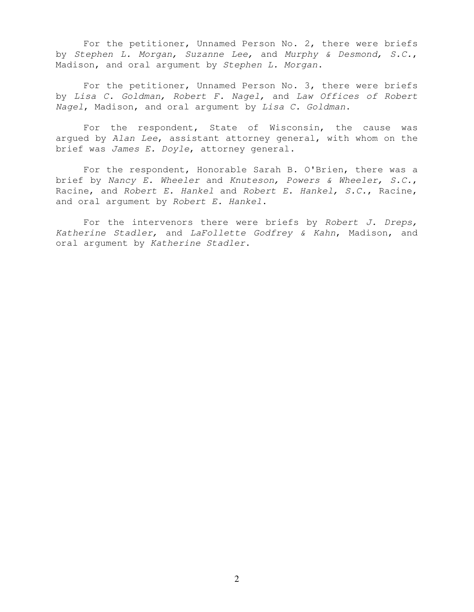For the petitioner, Unnamed Person No. 2, there were briefs by Stephen L. Morgan, Suzanne Lee, and Murphy & Desmond, S.C., Madison, and oral argument by Stephen L. Morgan.

For the petitioner, Unnamed Person No. 3, there were briefs by Lisa C. Goldman, Robert F. Nagel, and Law Offices of Robert Nagel, Madison, and oral argument by Lisa C. Goldman.

For the respondent, State of Wisconsin, the cause was argued by Alan Lee, assistant attorney general, with whom on the brief was James E. Doyle, attorney general.

For the respondent, Honorable Sarah B. O'Brien, there was a brief by Nancy E. Wheeler and Knuteson, Powers & Wheeler, S.C., Racine, and Robert E. Hankel and Robert E. Hankel, S.C., Racine, and oral argument by Robert E. Hankel.

For the intervenors there were briefs by Robert  $J.$  Dreps, Katherine Stadler, and LaFollette Godfrey & Kahn, Madison, and oral argument by Katherine Stadler.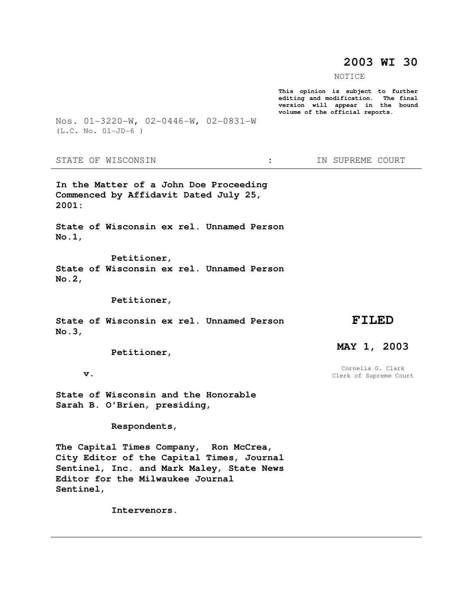# **2003 WI 30**

NOTICE

**This opinion is subject to further editing and modification. The final version will appear in the bound volume of the official reports.** 

Nos. 01-3220-W, 02-0446-W, 02-0831-W (L.C. No. 01-JD-6 )

STATE OF WISCONSIN  $\cdot$   $\cdot$  in Supreme court

**In the Matter of a John Doe Proceeding Commenced by Affidavit Dated July 25, 2001:** 

**State of Wisconsin ex rel. Unnamed Person No.1,** 

 **Petitioner, State of Wisconsin ex rel. Unnamed Person No.2,** 

 **Petitioner,** 

**State of Wisconsin ex rel. Unnamed Person No.3,** 

 **Petitioner,** 

 **v.** 

**State of Wisconsin and the Honorable Sarah B. O'Brien, presiding,** 

 **Respondents,** 

**The Capital Times Company, Ron McCrea, City Editor of the Capital Times, Journal Sentinel, Inc. and Mark Maley, State News Editor for the Milwaukee Journal Sentinel,** 

 **Intervenors.** 

## **FILED**

# **MAY 1, 2003**

Cornelia G. Clark Clerk of Supreme Court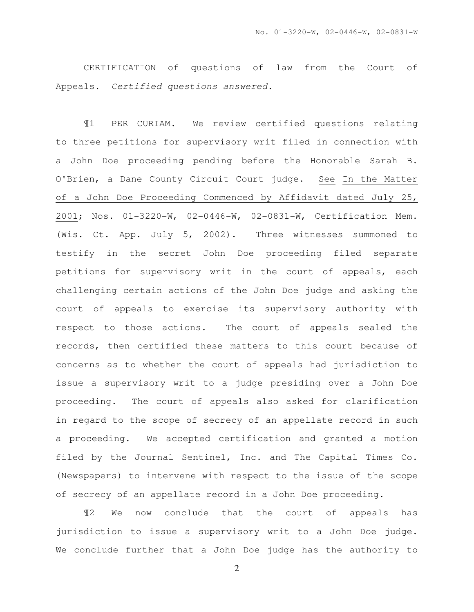CERTIFICATION of questions of law from the Court of Appeals. Certified questions answered.

¶1 PER CURIAM. We review certified questions relating to three petitions for supervisory writ filed in connection with a John Doe proceeding pending before the Honorable Sarah B. O'Brien, a Dane County Circuit Court judge. See In the Matter of a John Doe Proceeding Commenced by Affidavit dated July 25, 2001; Nos. 01-3220-W, 02-0446-W, 02-0831-W, Certification Mem. (Wis. Ct. App. July 5, 2002). Three witnesses summoned to testify in the secret John Doe proceeding filed separate petitions for supervisory writ in the court of appeals, each challenging certain actions of the John Doe judge and asking the court of appeals to exercise its supervisory authority with respect to those actions. The court of appeals sealed the records, then certified these matters to this court because of concerns as to whether the court of appeals had jurisdiction to issue a supervisory writ to a judge presiding over a John Doe proceeding. The court of appeals also asked for clarification in regard to the scope of secrecy of an appellate record in such a proceeding. We accepted certification and granted a motion filed by the Journal Sentinel, Inc. and The Capital Times Co. (Newspapers) to intervene with respect to the issue of the scope of secrecy of an appellate record in a John Doe proceeding.

¶2 We now conclude that the court of appeals has jurisdiction to issue a supervisory writ to a John Doe judge. We conclude further that a John Doe judge has the authority to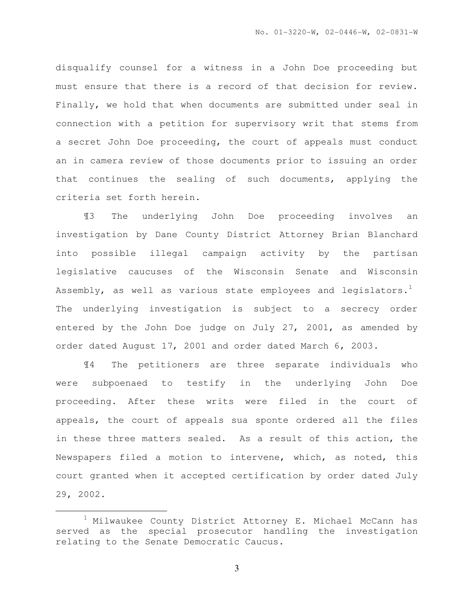disqualify counsel for a witness in a John Doe proceeding but must ensure that there is a record of that decision for review. Finally, we hold that when documents are submitted under seal in connection with a petition for supervisory writ that stems from a secret John Doe proceeding, the court of appeals must conduct an in camera review of those documents prior to issuing an order that continues the sealing of such documents, applying the criteria set forth herein.

¶3 The underlying John Doe proceeding involves an investigation by Dane County District Attorney Brian Blanchard into possible illegal campaign activity by the partisan legislative caucuses of the Wisconsin Senate and Wisconsin Assembly, as well as various state employees and legislators.<sup>1</sup> The underlying investigation is subject to a secrecy order entered by the John Doe judge on July 27, 2001, as amended by order dated August 17, 2001 and order dated March 6, 2003.

¶4 The petitioners are three separate individuals who were subpoenaed to testify in the underlying John Doe proceeding. After these writs were filed in the court of appeals, the court of appeals sua sponte ordered all the files in these three matters sealed. As a result of this action, the Newspapers filed a motion to intervene, which, as noted, this court granted when it accepted certification by order dated July 29, 2002.

 $\overline{a}$ 

 $1$  Milwaukee County District Attorney E. Michael McCann has served as the special prosecutor handling the investigation relating to the Senate Democratic Caucus.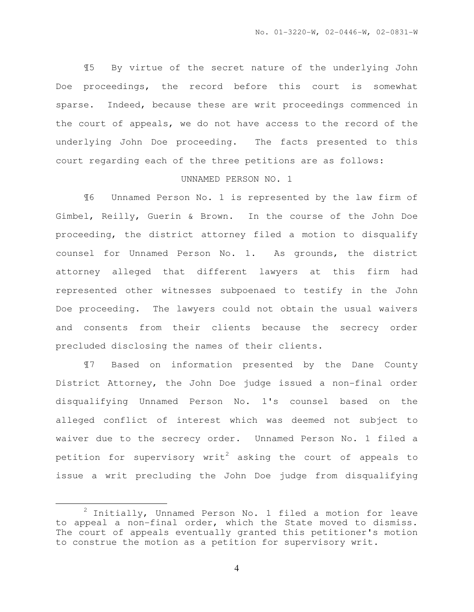¶5 By virtue of the secret nature of the underlying John Doe proceedings, the record before this court is somewhat sparse. Indeed, because these are writ proceedings commenced in the court of appeals, we do not have access to the record of the underlying John Doe proceeding. The facts presented to this court regarding each of the three petitions are as follows:

#### UNNAMED PERSON NO. 1

¶6 Unnamed Person No. 1 is represented by the law firm of Gimbel, Reilly, Guerin & Brown. In the course of the John Doe proceeding, the district attorney filed a motion to disqualify counsel for Unnamed Person No. 1. As grounds, the district attorney alleged that different lawyers at this firm had represented other witnesses subpoenaed to testify in the John Doe proceeding. The lawyers could not obtain the usual waivers and consents from their clients because the secrecy order precluded disclosing the names of their clients.

¶7 Based on information presented by the Dane County District Attorney, the John Doe judge issued a non-final order disqualifying Unnamed Person No. 1's counsel based on the alleged conflict of interest which was deemed not subject to waiver due to the secrecy order. Unnamed Person No. 1 filed a petition for supervisory writ<sup>2</sup> asking the court of appeals to issue a writ precluding the John Doe judge from disqualifying

 $\overline{a}$ 

 $2$  Initially, Unnamed Person No. 1 filed a motion for leave to appeal a non-final order, which the State moved to dismiss. The court of appeals eventually granted this petitioner's motion to construe the motion as a petition for supervisory writ.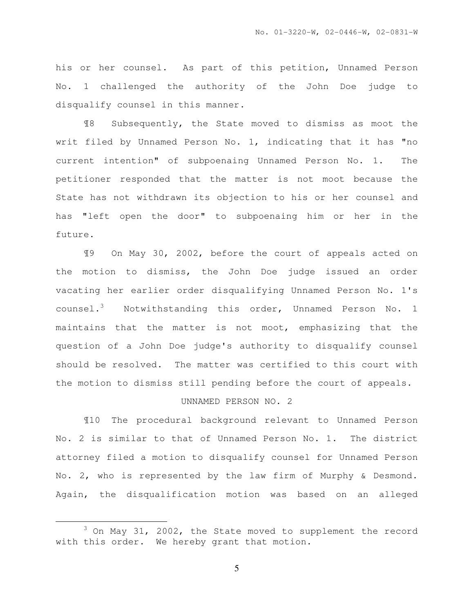his or her counsel. As part of this petition, Unnamed Person No. 1 challenged the authority of the John Doe judge to disqualify counsel in this manner.

¶8 Subsequently, the State moved to dismiss as moot the writ filed by Unnamed Person No. 1, indicating that it has "no current intention" of subpoenaing Unnamed Person No. 1. The petitioner responded that the matter is not moot because the State has not withdrawn its objection to his or her counsel and has "left open the door" to subpoenaing him or her in the future.

¶9 On May 30, 2002, before the court of appeals acted on the motion to dismiss, the John Doe judge issued an order vacating her earlier order disqualifying Unnamed Person No. 1's counsel.<sup>3</sup> Notwithstanding this order, Unnamed Person No. 1 maintains that the matter is not moot, emphasizing that the question of a John Doe judge's authority to disqualify counsel should be resolved. The matter was certified to this court with the motion to dismiss still pending before the court of appeals.

#### UNNAMED PERSON NO. 2

¶10 The procedural background relevant to Unnamed Person No. 2 is similar to that of Unnamed Person No. 1. The district attorney filed a motion to disqualify counsel for Unnamed Person No. 2, who is represented by the law firm of Murphy & Desmond. Again, the disqualification motion was based on an alleged

 $\overline{a}$ 

 $3$  On May 31, 2002, the State moved to supplement the record with this order. We hereby grant that motion.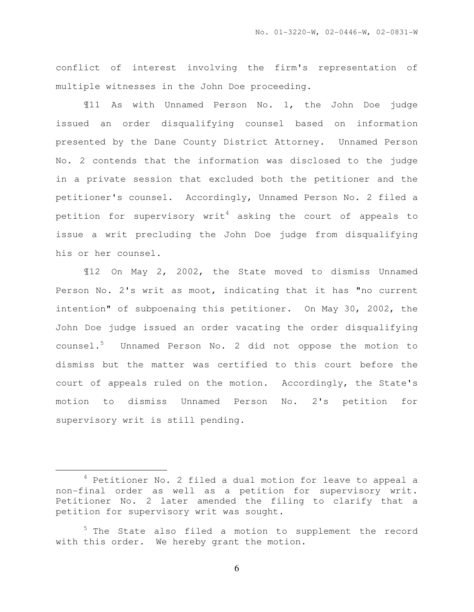conflict of interest involving the firm's representation of multiple witnesses in the John Doe proceeding.

¶11 As with Unnamed Person No. 1, the John Doe judge issued an order disqualifying counsel based on information presented by the Dane County District Attorney. Unnamed Person No. 2 contends that the information was disclosed to the judge in a private session that excluded both the petitioner and the petitioner's counsel. Accordingly, Unnamed Person No. 2 filed a petition for supervisory writ<sup>4</sup> asking the court of appeals to issue a writ precluding the John Doe judge from disqualifying his or her counsel.

¶12 On May 2, 2002, the State moved to dismiss Unnamed Person No. 2's writ as moot, indicating that it has "no current intention" of subpoenaing this petitioner. On May 30, 2002, the John Doe judge issued an order vacating the order disqualifying counsel.<sup>5</sup> Unnamed Person No. 2 did not oppose the motion to dismiss but the matter was certified to this court before the court of appeals ruled on the motion. Accordingly, the State's motion to dismiss Unnamed Person No. 2's petition for supervisory writ is still pending.

l.

 $4$  Petitioner No. 2 filed a dual motion for leave to appeal a non-final order as well as a petition for supervisory writ. Petitioner No. 2 later amended the filing to clarify that a petition for supervisory writ was sought.

 $5$  The State also filed a motion to supplement the record with this order. We hereby grant the motion.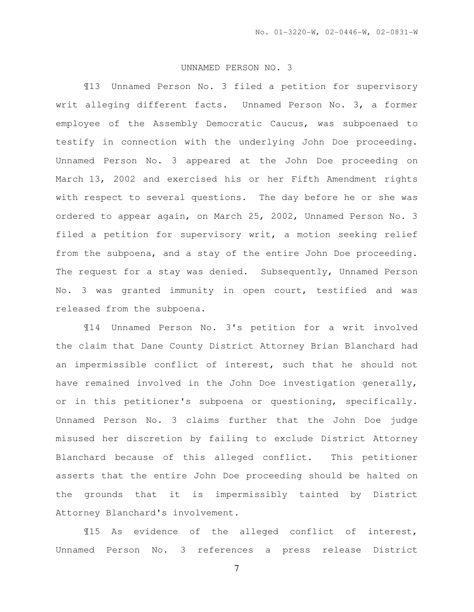### UNNAMED PERSON NO. 3

¶13 Unnamed Person No. 3 filed a petition for supervisory writ alleging different facts. Unnamed Person No. 3, a former employee of the Assembly Democratic Caucus, was subpoenaed to testify in connection with the underlying John Doe proceeding. Unnamed Person No. 3 appeared at the John Doe proceeding on March 13, 2002 and exercised his or her Fifth Amendment rights with respect to several questions. The day before he or she was ordered to appear again, on March 25, 2002, Unnamed Person No. 3 filed a petition for supervisory writ, a motion seeking relief from the subpoena, and a stay of the entire John Doe proceeding. The request for a stay was denied. Subsequently, Unnamed Person No. 3 was granted immunity in open court, testified and was released from the subpoena.

¶14 Unnamed Person No. 3's petition for a writ involved the claim that Dane County District Attorney Brian Blanchard had an impermissible conflict of interest, such that he should not have remained involved in the John Doe investigation generally, or in this petitioner's subpoena or questioning, specifically. Unnamed Person No. 3 claims further that the John Doe judge misused her discretion by failing to exclude District Attorney Blanchard because of this alleged conflict. This petitioner asserts that the entire John Doe proceeding should be halted on the grounds that it is impermissibly tainted by District Attorney Blanchard's involvement.

¶15 As evidence of the alleged conflict of interest, Unnamed Person No. 3 references a press release District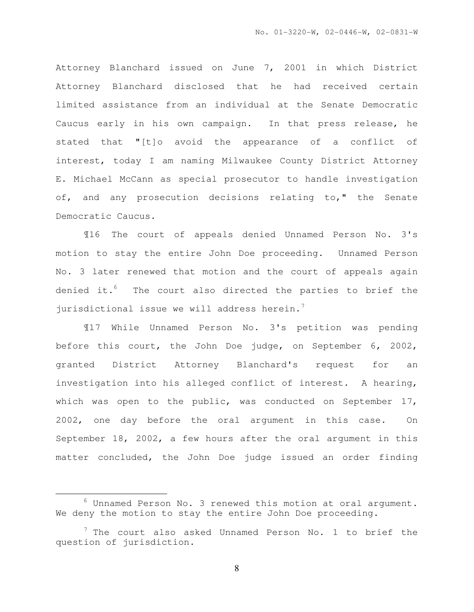Attorney Blanchard issued on June 7, 2001 in which District Attorney Blanchard disclosed that he had received certain limited assistance from an individual at the Senate Democratic Caucus early in his own campaign. In that press release, he stated that "[t]o avoid the appearance of a conflict of interest, today I am naming Milwaukee County District Attorney E. Michael McCann as special prosecutor to handle investigation of, and any prosecution decisions relating to," the Senate Democratic Caucus.

¶16 The court of appeals denied Unnamed Person No. 3's motion to stay the entire John Doe proceeding. Unnamed Person No. 3 later renewed that motion and the court of appeals again denied it. $6$  The court also directed the parties to brief the jurisdictional issue we will address herein.<sup>7</sup>

¶17 While Unnamed Person No. 3's petition was pending before this court, the John Doe judge, on September 6, 2002, granted District Attorney Blanchard's request for an investigation into his alleged conflict of interest. A hearing, which was open to the public, was conducted on September 17, 2002, one day before the oral argument in this case. On September 18, 2002, a few hours after the oral argument in this matter concluded, the John Doe judge issued an order finding

l.

 $6$  Unnamed Person No. 3 renewed this motion at oral argument. We deny the motion to stay the entire John Doe proceeding.

 $7$  The court also asked Unnamed Person No. 1 to brief the question of jurisdiction.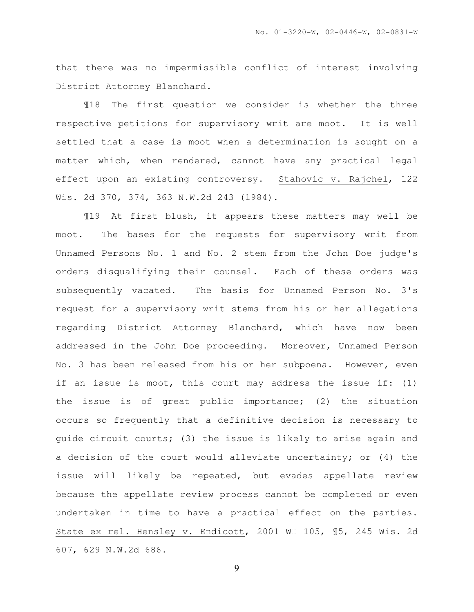that there was no impermissible conflict of interest involving District Attorney Blanchard.

¶18 The first question we consider is whether the three respective petitions for supervisory writ are moot. It is well settled that a case is moot when a determination is sought on a matter which, when rendered, cannot have any practical legal effect upon an existing controversy. Stahovic v. Rajchel, 122 Wis. 2d 370, 374, 363 N.W.2d 243 (1984).

¶19 At first blush, it appears these matters may well be moot. The bases for the requests for supervisory writ from Unnamed Persons No. 1 and No. 2 stem from the John Doe judge's orders disqualifying their counsel. Each of these orders was subsequently vacated. The basis for Unnamed Person No. 3's request for a supervisory writ stems from his or her allegations regarding District Attorney Blanchard, which have now been addressed in the John Doe proceeding. Moreover, Unnamed Person No. 3 has been released from his or her subpoena. However, even if an issue is moot, this court may address the issue if: (1) the issue is of great public importance; (2) the situation occurs so frequently that a definitive decision is necessary to guide circuit courts; (3) the issue is likely to arise again and a decision of the court would alleviate uncertainty; or (4) the issue will likely be repeated, but evades appellate review because the appellate review process cannot be completed or even undertaken in time to have a practical effect on the parties. State ex rel. Hensley v. Endicott, 2001 WI 105, ¶5, 245 Wis. 2d 607, 629 N.W.2d 686.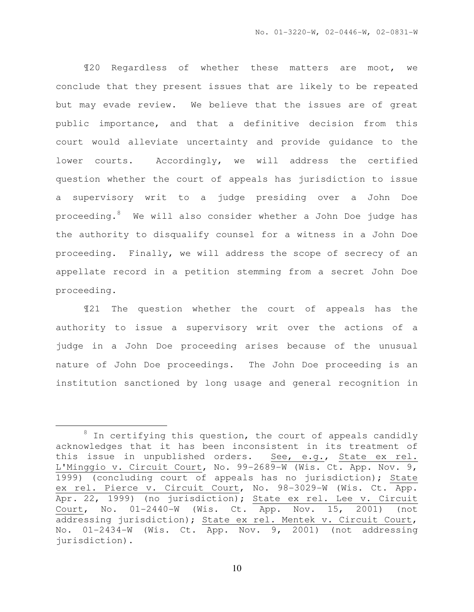¶20 Regardless of whether these matters are moot, we conclude that they present issues that are likely to be repeated but may evade review. We believe that the issues are of great public importance, and that a definitive decision from this court would alleviate uncertainty and provide guidance to the lower courts. Accordingly, we will address the certified question whether the court of appeals has jurisdiction to issue a supervisory writ to a judge presiding over a John Doe proceeding.<sup>8</sup> We will also consider whether a John Doe judge has the authority to disqualify counsel for a witness in a John Doe proceeding. Finally, we will address the scope of secrecy of an appellate record in a petition stemming from a secret John Doe proceeding.

¶21 The question whether the court of appeals has the authority to issue a supervisory writ over the actions of a judge in a John Doe proceeding arises because of the unusual nature of John Doe proceedings. The John Doe proceeding is an institution sanctioned by long usage and general recognition in

 $\overline{a}$ 

 $8$  In certifying this question, the court of appeals candidly acknowledges that it has been inconsistent in its treatment of this issue in unpublished orders. See, e.g., State ex rel. L'Minggio v. Circuit Court, No. 99-2689-W (Wis. Ct. App. Nov. 9, 1999) (concluding court of appeals has no jurisdiction); State ex rel. Pierce v. Circuit Court, No. 98-3029-W (Wis. Ct. App. Apr. 22, 1999) (no jurisdiction); State ex rel. Lee v. Circuit Court, No. 01-2440-W (Wis. Ct. App. Nov. 15, 2001) (not addressing jurisdiction); State ex rel. Mentek v. Circuit Court, No. 01-2434-W (Wis. Ct. App. Nov. 9, 2001) (not addressing jurisdiction).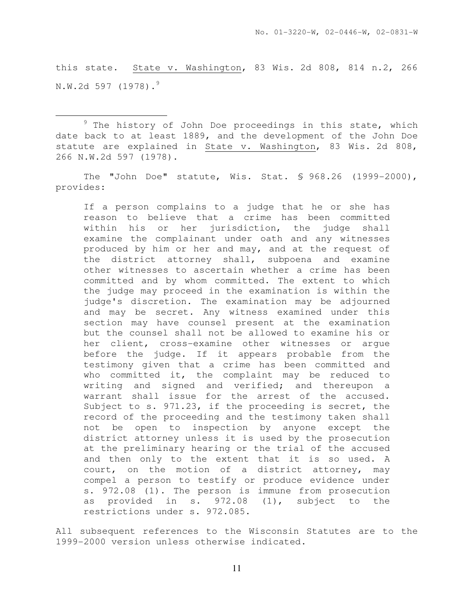this state. State v. Washington, 83 Wis. 2d 808, 814 n.2, 266  $N.W.2d 597 (1978).$ <sup>9</sup>

 $9$  The history of John Doe proceedings in this state, which date back to at least 1889, and the development of the John Doe statute are explained in State v. Washington, 83 Wis. 2d 808, 266 N.W.2d 597 (1978).

l.

The "John Doe" statute, Wis. Stat. § 968.26 (1999-2000), provides:

If a person complains to a judge that he or she has reason to believe that a crime has been committed within his or her jurisdiction, the judge shall examine the complainant under oath and any witnesses produced by him or her and may, and at the request of the district attorney shall, subpoena and examine other witnesses to ascertain whether a crime has been committed and by whom committed. The extent to which the judge may proceed in the examination is within the judge's discretion. The examination may be adjourned and may be secret. Any witness examined under this section may have counsel present at the examination but the counsel shall not be allowed to examine his or her client, cross-examine other witnesses or argue before the judge. If it appears probable from the testimony given that a crime has been committed and who committed it, the complaint may be reduced to writing and signed and verified; and thereupon a warrant shall issue for the arrest of the accused. Subject to s. 971.23, if the proceeding is secret, the record of the proceeding and the testimony taken shall not be open to inspection by anyone except the district attorney unless it is used by the prosecution at the preliminary hearing or the trial of the accused and then only to the extent that it is so used. A court, on the motion of a district attorney, may compel a person to testify or produce evidence under s. 972.08 (1). The person is immune from prosecution as provided in s. 972.08 (1), subject to the restrictions under s. 972.085.

All subsequent references to the Wisconsin Statutes are to the 1999-2000 version unless otherwise indicated.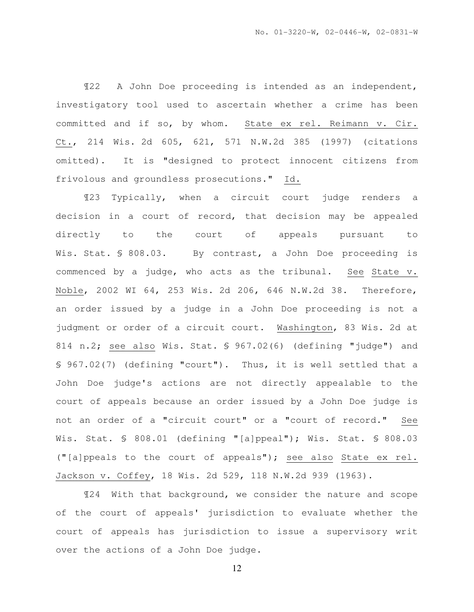¶22 A John Doe proceeding is intended as an independent, investigatory tool used to ascertain whether a crime has been committed and if so, by whom. State ex rel. Reimann v. Cir. Ct., 214 Wis. 2d 605, 621, 571 N.W.2d 385 (1997) (citations omitted). It is "designed to protect innocent citizens from frivolous and groundless prosecutions." Id.

¶23 Typically, when a circuit court judge renders a decision in a court of record, that decision may be appealed directly to the court of appeals pursuant to Wis. Stat. § 808.03. By contrast, a John Doe proceeding is commenced by a judge, who acts as the tribunal. See State v. Noble, 2002 WI 64, 253 Wis. 2d 206, 646 N.W.2d 38. Therefore, an order issued by a judge in a John Doe proceeding is not a judgment or order of a circuit court. Washington, 83 Wis. 2d at 814 n.2; see also Wis. Stat. § 967.02(6) (defining "judge") and § 967.02(7) (defining "court"). Thus, it is well settled that a John Doe judge's actions are not directly appealable to the court of appeals because an order issued by a John Doe judge is not an order of a "circuit court" or a "court of record." See Wis. Stat. § 808.01 (defining "[a]ppeal"); Wis. Stat. § 808.03 ("[a]ppeals to the court of appeals"); see also State ex rel. Jackson v. Coffey, 18 Wis. 2d 529, 118 N.W.2d 939 (1963).

¶24 With that background, we consider the nature and scope of the court of appeals' jurisdiction to evaluate whether the court of appeals has jurisdiction to issue a supervisory writ over the actions of a John Doe judge.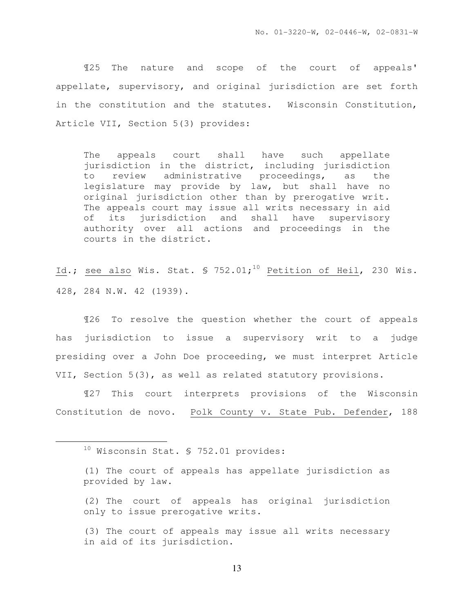¶25 The nature and scope of the court of appeals' appellate, supervisory, and original jurisdiction are set forth in the constitution and the statutes. Wisconsin Constitution, Article VII, Section 5(3) provides:

The appeals court shall have such appellate jurisdiction in the district, including jurisdiction to review administrative proceedings, as the legislature may provide by law, but shall have no original jurisdiction other than by prerogative writ. The appeals court may issue all writs necessary in aid of its jurisdiction and shall have supervisory authority over all actions and proceedings in the courts in the district.

Id.; see also Wis. Stat.  $\frac{10}{10}$  Petition of Heil, 230 Wis. 428, 284 N.W. 42 (1939).

¶26 To resolve the question whether the court of appeals has jurisdiction to issue a supervisory writ to a judge presiding over a John Doe proceeding, we must interpret Article VII, Section 5(3), as well as related statutory provisions.

¶27 This court interprets provisions of the Wisconsin Constitution de novo. Polk County v. State Pub. Defender, 188

l.

(2) The court of appeals has original jurisdiction only to issue prerogative writs.

<sup>&</sup>lt;sup>10</sup> Wisconsin Stat. § 752.01 provides:

<sup>(1)</sup> The court of appeals has appellate jurisdiction as provided by law.

<sup>(3)</sup> The court of appeals may issue all writs necessary in aid of its jurisdiction.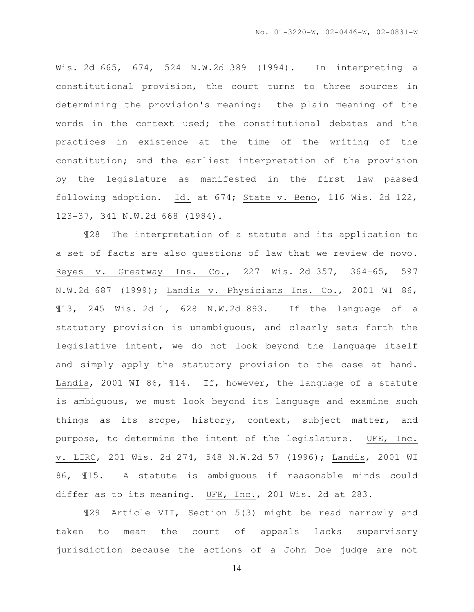Wis. 2d 665, 674, 524 N.W.2d 389 (1994). In interpreting a constitutional provision, the court turns to three sources in determining the provision's meaning: the plain meaning of the words in the context used; the constitutional debates and the practices in existence at the time of the writing of the constitution; and the earliest interpretation of the provision by the legislature as manifested in the first law passed following adoption. Id. at 674; State v. Beno, 116 Wis. 2d 122, 123-37, 341 N.W.2d 668 (1984).

¶28 The interpretation of a statute and its application to a set of facts are also questions of law that we review de novo. Reyes v. Greatway Ins. Co., 227 Wis. 2d 357, 364-65, 597 N.W.2d 687 (1999); Landis v. Physicians Ins. Co., 2001 WI 86, ¶13, 245 Wis. 2d 1, 628 N.W.2d 893. If the language of a statutory provision is unambiguous, and clearly sets forth the legislative intent, we do not look beyond the language itself and simply apply the statutory provision to the case at hand. Landis, 2001 WI 86, ¶14. If, however, the language of a statute is ambiguous, we must look beyond its language and examine such things as its scope, history, context, subject matter, and purpose, to determine the intent of the legislature. UFE, Inc. v. LIRC, 201 Wis. 2d 274, 548 N.W.2d 57 (1996); Landis, 2001 WI 86, ¶15. A statute is ambiguous if reasonable minds could differ as to its meaning. UFE, Inc., 201 Wis. 2d at 283.

¶29 Article VII, Section 5(3) might be read narrowly and taken to mean the court of appeals lacks supervisory jurisdiction because the actions of a John Doe judge are not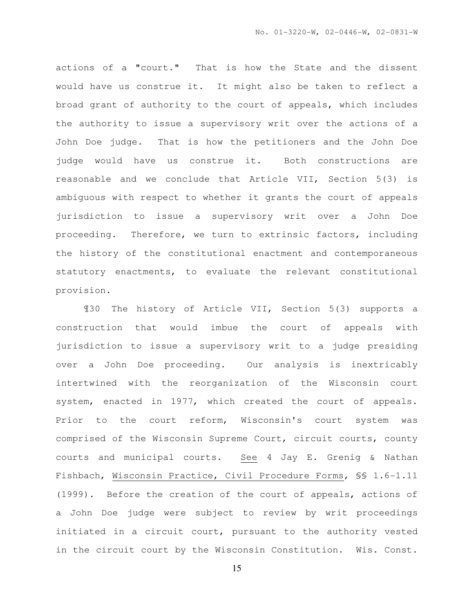actions of a "court." That is how the State and the dissent would have us construe it. It might also be taken to reflect a broad grant of authority to the court of appeals, which includes the authority to issue a supervisory writ over the actions of a John Doe judge. That is how the petitioners and the John Doe judge would have us construe it. Both constructions are reasonable and we conclude that Article VII, Section 5(3) is ambiguous with respect to whether it grants the court of appeals jurisdiction to issue a supervisory writ over a John Doe proceeding. Therefore, we turn to extrinsic factors, including the history of the constitutional enactment and contemporaneous statutory enactments, to evaluate the relevant constitutional provision.

¶30 The history of Article VII, Section 5(3) supports a construction that would imbue the court of appeals with jurisdiction to issue a supervisory writ to a judge presiding over a John Doe proceeding. Our analysis is inextricably intertwined with the reorganization of the Wisconsin court system, enacted in 1977, which created the court of appeals. Prior to the court reform, Wisconsin's court system was comprised of the Wisconsin Supreme Court, circuit courts, county courts and municipal courts. See 4 Jay E. Grenig & Nathan Fishbach, Wisconsin Practice, Civil Procedure Forms, §§ 1.6-1.11 (1999). Before the creation of the court of appeals, actions of a John Doe judge were subject to review by writ proceedings initiated in a circuit court, pursuant to the authority vested in the circuit court by the Wisconsin Constitution. Wis. Const.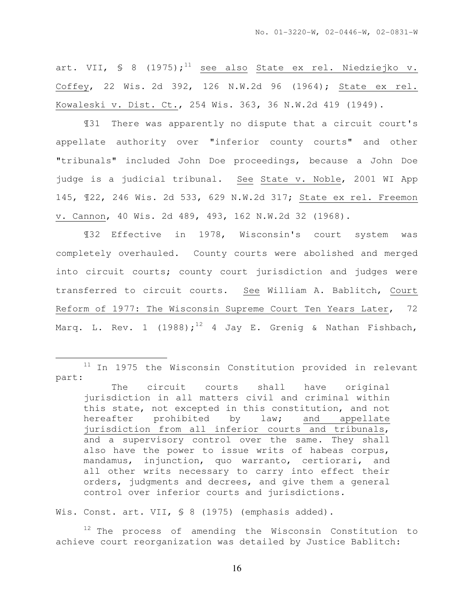art. VII, § 8 (1975);<sup>11</sup> see also State ex rel. Niedziejko v. Coffey, 22 Wis. 2d 392, 126 N.W.2d 96 (1964); State ex rel. Kowaleski v. Dist. Ct., 254 Wis. 363, 36 N.W.2d 419 (1949).

¶31 There was apparently no dispute that a circuit court's appellate authority over "inferior county courts" and other "tribunals" included John Doe proceedings, because a John Doe judge is a judicial tribunal. See State v. Noble, 2001 WI App 145, ¶22, 246 Wis. 2d 533, 629 N.W.2d 317; State ex rel. Freemon v. Cannon, 40 Wis. 2d 489, 493, 162 N.W.2d 32 (1968).

¶32 Effective in 1978, Wisconsin's court system was completely overhauled. County courts were abolished and merged into circuit courts; county court jurisdiction and judges were transferred to circuit courts. See William A. Bablitch, Court Reform of 1977: The Wisconsin Supreme Court Ten Years Later, 72 Marq. L. Rev. 1 (1988);<sup>12</sup> 4 Jay E. Grenig & Nathan Fishbach,

Wis. Const. art. VII, § 8 (1975) (emphasis added).

l.

<sup>12</sup> The process of amending the Wisconsin Constitution to achieve court reorganization was detailed by Justice Bablitch:

 $11$  In 1975 the Wisconsin Constitution provided in relevant part:

The circuit courts shall have original jurisdiction in all matters civil and criminal within this state, not excepted in this constitution, and not hereafter prohibited by law; and appellate jurisdiction from all inferior courts and tribunals, and a supervisory control over the same. They shall also have the power to issue writs of habeas corpus, mandamus, injunction, quo warranto, certiorari, and all other writs necessary to carry into effect their orders, judgments and decrees, and give them a general control over inferior courts and jurisdictions.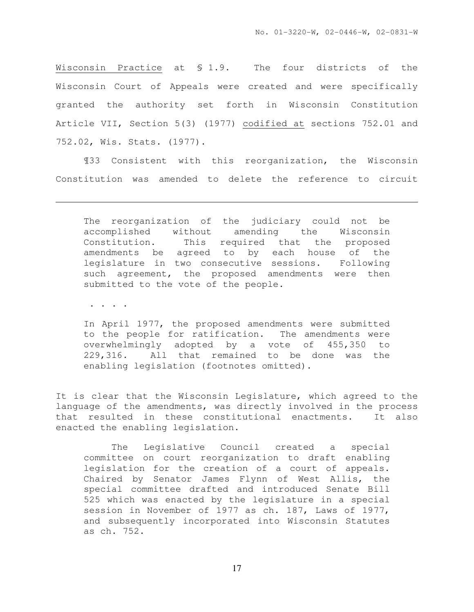Wisconsin Practice at § 1.9. The four districts of the Wisconsin Court of Appeals were created and were specifically granted the authority set forth in Wisconsin Constitution Article VII, Section 5(3) (1977) codified at sections 752.01 and 752.02, Wis. Stats. (1977).

¶33 Consistent with this reorganization, the Wisconsin Constitution was amended to delete the reference to circuit

The reorganization of the judiciary could not be accomplished without amending the Wisconsin Constitution. This required that the proposed amendments be agreed to by each house of the legislature in two consecutive sessions. Following such agreement, the proposed amendments were then submitted to the vote of the people.

. . . .

l.

In April 1977, the proposed amendments were submitted to the people for ratification. The amendments were overwhelmingly adopted by a vote of 455,350 to 229,316. All that remained to be done was the enabling legislation (footnotes omitted).

It is clear that the Wisconsin Legislature, which agreed to the language of the amendments, was directly involved in the process that resulted in these constitutional enactments. It also enacted the enabling legislation.

 The Legislative Council created a special committee on court reorganization to draft enabling legislation for the creation of a court of appeals. Chaired by Senator James Flynn of West Allis, the special committee drafted and introduced Senate Bill 525 which was enacted by the legislature in a special session in November of 1977 as ch. 187, Laws of 1977, and subsequently incorporated into Wisconsin Statutes as ch. 752.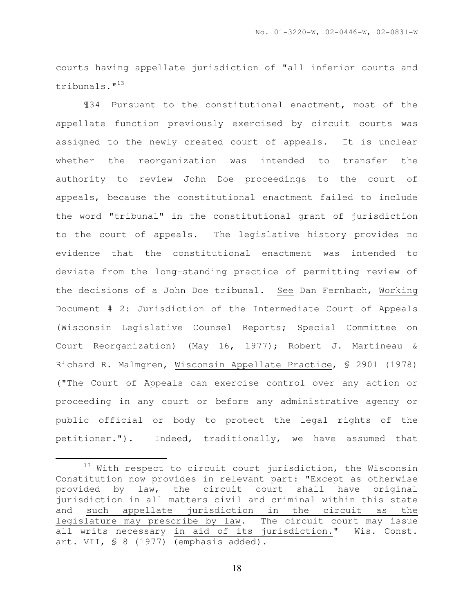courts having appellate jurisdiction of "all inferior courts and tribunals."<sup>13</sup>

¶34 Pursuant to the constitutional enactment, most of the appellate function previously exercised by circuit courts was assigned to the newly created court of appeals. It is unclear whether the reorganization was intended to transfer the authority to review John Doe proceedings to the court of appeals, because the constitutional enactment failed to include the word "tribunal" in the constitutional grant of jurisdiction to the court of appeals. The legislative history provides no evidence that the constitutional enactment was intended to deviate from the long-standing practice of permitting review of the decisions of a John Doe tribunal. See Dan Fernbach, Working Document # 2: Jurisdiction of the Intermediate Court of Appeals (Wisconsin Legislative Counsel Reports; Special Committee on Court Reorganization) (May 16, 1977); Robert J. Martineau & Richard R. Malmgren, Wisconsin Appellate Practice, § 2901 (1978) ("The Court of Appeals can exercise control over any action or proceeding in any court or before any administrative agency or public official or body to protect the legal rights of the petitioner."). Indeed, traditionally, we have assumed that

 $\overline{a}$ 

<sup>&</sup>lt;sup>13</sup> With respect to circuit court jurisdiction, the Wisconsin Constitution now provides in relevant part: "Except as otherwise provided by law, the circuit court shall have original jurisdiction in all matters civil and criminal within this state and such appellate jurisdiction in the circuit as the legislature may prescribe by law. The circuit court may issue all writs necessary in aid of its jurisdiction." Wis. Const. art. VII, § 8 (1977) (emphasis added).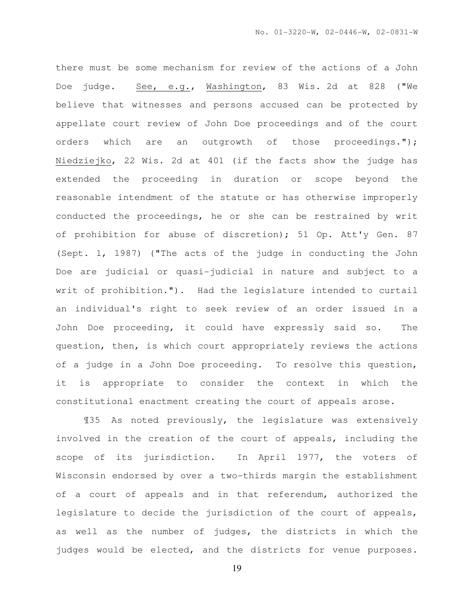there must be some mechanism for review of the actions of a John Doe judge. See, e.g., Washington, 83 Wis. 2d at 828 ("We believe that witnesses and persons accused can be protected by appellate court review of John Doe proceedings and of the court orders which are an outgrowth of those proceedings."); Niedziejko, 22 Wis. 2d at 401 (if the facts show the judge has extended the proceeding in duration or scope beyond the reasonable intendment of the statute or has otherwise improperly conducted the proceedings, he or she can be restrained by writ of prohibition for abuse of discretion); 51 Op. Att'y Gen. 87 (Sept. 1, 1987) ("The acts of the judge in conducting the John Doe are judicial or quasi-judicial in nature and subject to a writ of prohibition."). Had the legislature intended to curtail an individual's right to seek review of an order issued in a John Doe proceeding, it could have expressly said so. The question, then, is which court appropriately reviews the actions of a judge in a John Doe proceeding. To resolve this question, it is appropriate to consider the context in which the constitutional enactment creating the court of appeals arose.

¶35 As noted previously, the legislature was extensively involved in the creation of the court of appeals, including the scope of its jurisdiction. In April 1977, the voters of Wisconsin endorsed by over a two-thirds margin the establishment of a court of appeals and in that referendum, authorized the legislature to decide the jurisdiction of the court of appeals, as well as the number of judges, the districts in which the judges would be elected, and the districts for venue purposes.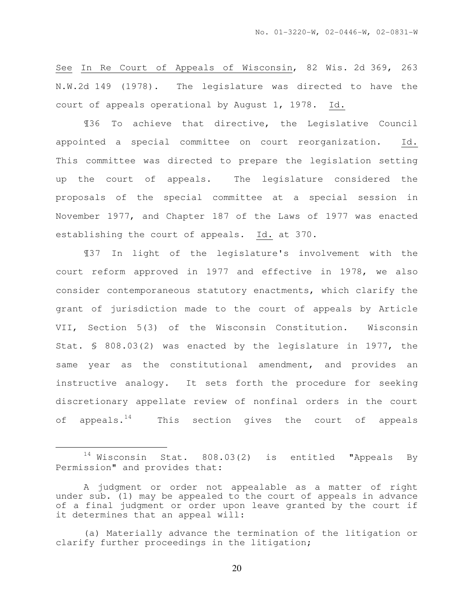See In Re Court of Appeals of Wisconsin, 82 Wis. 2d 369, 263 N.W.2d 149 (1978). The legislature was directed to have the court of appeals operational by August 1, 1978. Id.

¶36 To achieve that directive, the Legislative Council appointed a special committee on court reorganization. Id. This committee was directed to prepare the legislation setting up the court of appeals. The legislature considered the proposals of the special committee at a special session in November 1977, and Chapter 187 of the Laws of 1977 was enacted establishing the court of appeals. Id. at 370.

¶37 In light of the legislature's involvement with the court reform approved in 1977 and effective in 1978, we also consider contemporaneous statutory enactments, which clarify the grant of jurisdiction made to the court of appeals by Article VII, Section 5(3) of the Wisconsin Constitution. Wisconsin Stat. § 808.03(2) was enacted by the legislature in 1977, the same year as the constitutional amendment, and provides an instructive analogy. It sets forth the procedure for seeking discretionary appellate review of nonfinal orders in the court of appeals. $14$  This section gives the court of appeals

 $\overline{a}$ 

 $14$  Wisconsin Stat. 808.03(2) is entitled "Appeals By Permission" and provides that:

A judgment or order not appealable as a matter of right under sub. (1) may be appealed to the court of appeals in advance of a final judgment or order upon leave granted by the court if it determines that an appeal will:

<sup>(</sup>a) Materially advance the termination of the litigation or clarify further proceedings in the litigation;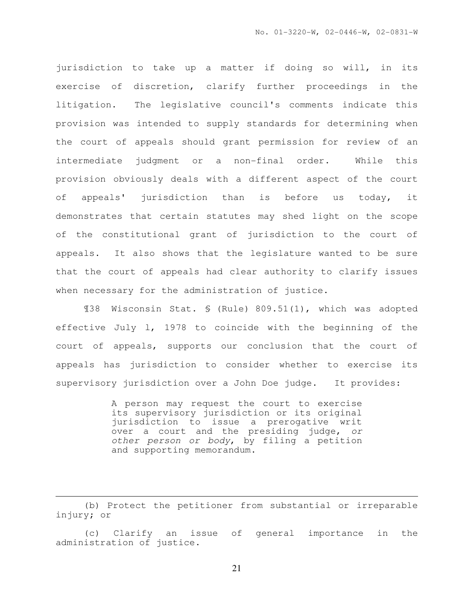jurisdiction to take up a matter if doing so will, in its exercise of discretion, clarify further proceedings in the litigation. The legislative council's comments indicate this provision was intended to supply standards for determining when the court of appeals should grant permission for review of an intermediate judgment or a non-final order. While this provision obviously deals with a different aspect of the court of appeals' jurisdiction than is before us today, it demonstrates that certain statutes may shed light on the scope of the constitutional grant of jurisdiction to the court of appeals. It also shows that the legislature wanted to be sure that the court of appeals had clear authority to clarify issues when necessary for the administration of justice.

¶38 Wisconsin Stat. § (Rule) 809.51(1), which was adopted effective July l, 1978 to coincide with the beginning of the court of appeals, supports our conclusion that the court of appeals has jurisdiction to consider whether to exercise its supervisory jurisdiction over a John Doe judge. It provides:

> A person may request the court to exercise its supervisory jurisdiction or its original jurisdiction to issue a prerogative writ over a court and the presiding judge, or other person or body, by filing a petition and supporting memorandum.

(b) Protect the petitioner from substantial or irreparable injury; or

l.

(c) Clarify an issue of general importance in the administration of justice.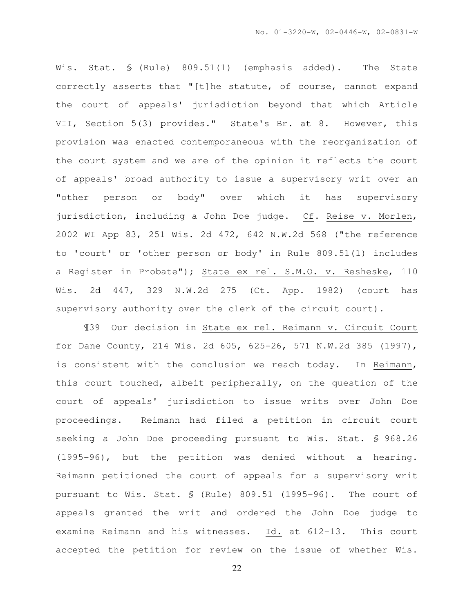Wis. Stat. § (Rule) 809.51(1) (emphasis added). The State correctly asserts that "[t]he statute, of course, cannot expand the court of appeals' jurisdiction beyond that which Article VII, Section 5(3) provides." State's Br. at 8. However, this provision was enacted contemporaneous with the reorganization of the court system and we are of the opinion it reflects the court of appeals' broad authority to issue a supervisory writ over an "other person or body" over which it has supervisory jurisdiction, including a John Doe judge. Cf. Reise v. Morlen, 2002 WI App 83, 251 Wis. 2d 472, 642 N.W.2d 568 ("the reference to 'court' or 'other person or body' in Rule 809.51(1) includes a Register in Probate"); State ex rel. S.M.O. v. Resheske, 110 Wis. 2d 447, 329 N.W.2d 275 (Ct. App. 1982) (court has supervisory authority over the clerk of the circuit court).

¶39 Our decision in State ex rel. Reimann v. Circuit Court for Dane County, 214 Wis. 2d 605, 625-26, 571 N.W.2d 385 (1997), is consistent with the conclusion we reach today. In Reimann, this court touched, albeit peripherally, on the question of the court of appeals' jurisdiction to issue writs over John Doe proceedings. Reimann had filed a petition in circuit court seeking a John Doe proceeding pursuant to Wis. Stat. § 968.26 (1995-96), but the petition was denied without a hearing. Reimann petitioned the court of appeals for a supervisory writ pursuant to Wis. Stat. § (Rule) 809.51 (1995-96). The court of appeals granted the writ and ordered the John Doe judge to examine Reimann and his witnesses. Id. at 612-13. This court accepted the petition for review on the issue of whether Wis.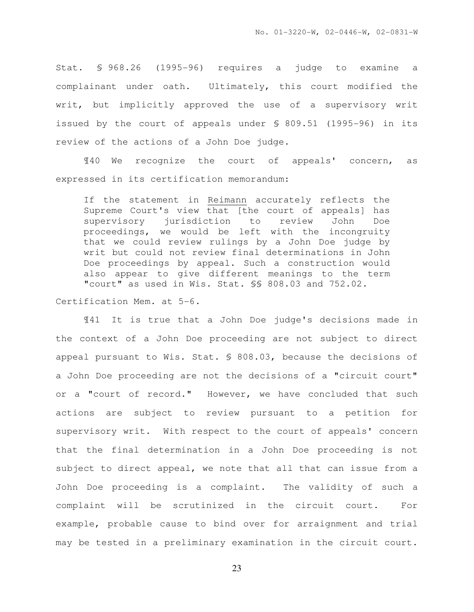Stat. § 968.26 (1995-96) requires a judge to examine a complainant under oath. Ultimately, this court modified the writ, but implicitly approved the use of a supervisory writ issued by the court of appeals under § 809.51 (1995-96) in its review of the actions of a John Doe judge.

¶40 We recognize the court of appeals' concern, as expressed in its certification memorandum:

If the statement in Reimann accurately reflects the Supreme Court's view that [the court of appeals] has supervisory jurisdiction to review John Doe proceedings, we would be left with the incongruity that we could review rulings by a John Doe judge by writ but could not review final determinations in John Doe proceedings by appeal. Such a construction would also appear to give different meanings to the term "court" as used in Wis. Stat. §§ 808.03 and 752.02.

#### Certification Mem. at 5-6.

¶41 It is true that a John Doe judge's decisions made in the context of a John Doe proceeding are not subject to direct appeal pursuant to Wis. Stat. § 808.03, because the decisions of a John Doe proceeding are not the decisions of a "circuit court" or a "court of record." However, we have concluded that such actions are subject to review pursuant to a petition for supervisory writ. With respect to the court of appeals' concern that the final determination in a John Doe proceeding is not subject to direct appeal, we note that all that can issue from a John Doe proceeding is a complaint. The validity of such a complaint will be scrutinized in the circuit court. For example, probable cause to bind over for arraignment and trial may be tested in a preliminary examination in the circuit court.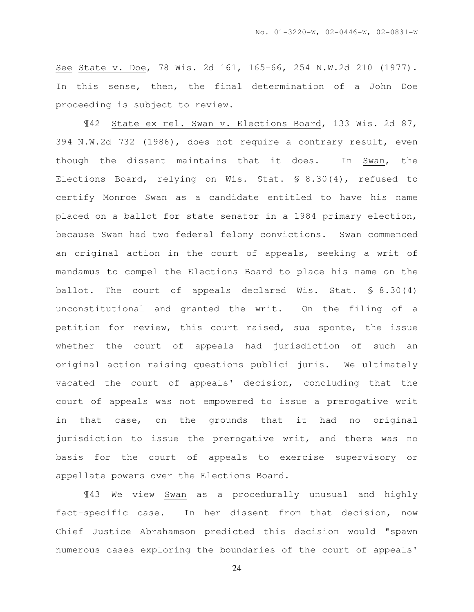See State v. Doe, 78 Wis. 2d 161, 165-66, 254 N.W.2d 210 (1977). In this sense, then, the final determination of a John Doe proceeding is subject to review.

¶42 State ex rel. Swan v. Elections Board, 133 Wis. 2d 87, 394 N.W.2d 732 (1986), does not require a contrary result, even though the dissent maintains that it does. In Swan, the Elections Board, relying on Wis. Stat. § 8.30(4), refused to certify Monroe Swan as a candidate entitled to have his name placed on a ballot for state senator in a 1984 primary election, because Swan had two federal felony convictions. Swan commenced an original action in the court of appeals, seeking a writ of mandamus to compel the Elections Board to place his name on the ballot. The court of appeals declared Wis. Stat. § 8.30(4) unconstitutional and granted the writ. On the filing of a petition for review, this court raised, sua sponte, the issue whether the court of appeals had jurisdiction of such an original action raising questions publici juris. We ultimately vacated the court of appeals' decision, concluding that the court of appeals was not empowered to issue a prerogative writ in that case, on the grounds that it had no original jurisdiction to issue the prerogative writ, and there was no basis for the court of appeals to exercise supervisory or appellate powers over the Elections Board.

¶43 We view Swan as a procedurally unusual and highly fact-specific case. In her dissent from that decision, now Chief Justice Abrahamson predicted this decision would "spawn numerous cases exploring the boundaries of the court of appeals'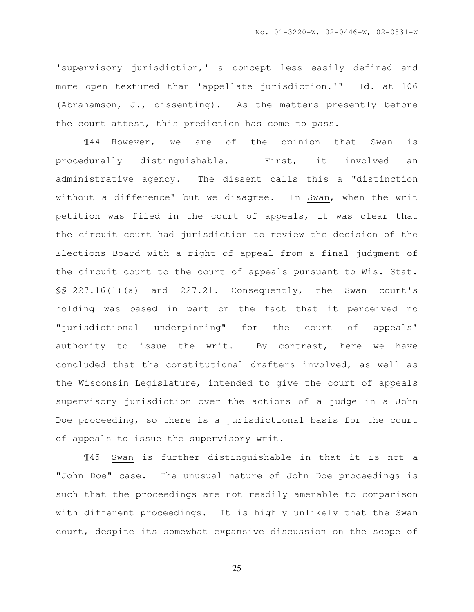'supervisory jurisdiction,' a concept less easily defined and more open textured than 'appellate jurisdiction.'" Id. at 106 (Abrahamson, J., dissenting). As the matters presently before the court attest, this prediction has come to pass.

¶44 However, we are of the opinion that Swan is procedurally distinguishable. First, it involved an administrative agency. The dissent calls this a "distinction without a difference" but we disagree. In Swan, when the writ petition was filed in the court of appeals, it was clear that the circuit court had jurisdiction to review the decision of the Elections Board with a right of appeal from a final judgment of the circuit court to the court of appeals pursuant to Wis. Stat. §§ 227.16(1)(a) and 227.21. Consequently, the Swan court's holding was based in part on the fact that it perceived no "jurisdictional underpinning" for the court of appeals' authority to issue the writ. By contrast, here we have concluded that the constitutional drafters involved, as well as the Wisconsin Legislature, intended to give the court of appeals supervisory jurisdiction over the actions of a judge in a John Doe proceeding, so there is a jurisdictional basis for the court of appeals to issue the supervisory writ.

¶45 Swan is further distinguishable in that it is not a "John Doe" case. The unusual nature of John Doe proceedings is such that the proceedings are not readily amenable to comparison with different proceedings. It is highly unlikely that the Swan court, despite its somewhat expansive discussion on the scope of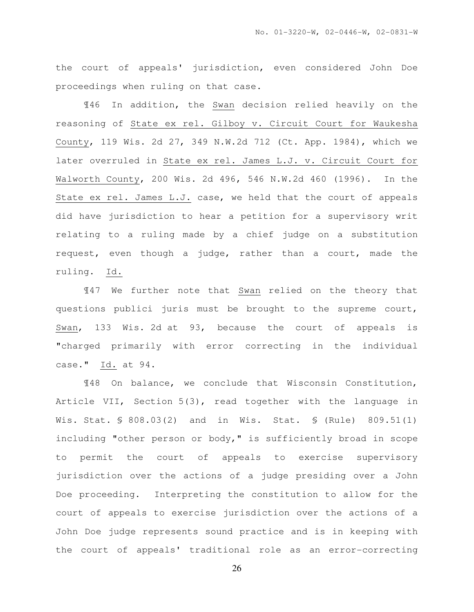the court of appeals' jurisdiction, even considered John Doe proceedings when ruling on that case.

¶46 In addition, the Swan decision relied heavily on the reasoning of State ex rel. Gilboy v. Circuit Court for Waukesha County, 119 Wis. 2d 27, 349 N.W.2d 712 (Ct. App. 1984), which we later overruled in State ex rel. James L.J. v. Circuit Court for Walworth County, 200 Wis. 2d 496, 546 N.W.2d 460 (1996). In the State ex rel. James L.J. case, we held that the court of appeals did have jurisdiction to hear a petition for a supervisory writ relating to a ruling made by a chief judge on a substitution request, even though a judge, rather than a court, made the ruling. Id.

¶47 We further note that Swan relied on the theory that questions publici juris must be brought to the supreme court, Swan, 133 Wis. 2d at 93, because the court of appeals is "charged primarily with error correcting in the individual case." Id. at 94.

¶48 On balance, we conclude that Wisconsin Constitution, Article VII, Section 5(3), read together with the language in Wis. Stat. § 808.03(2) and in Wis. Stat. § (Rule) 809.51(1) including "other person or body," is sufficiently broad in scope to permit the court of appeals to exercise supervisory jurisdiction over the actions of a judge presiding over a John Doe proceeding. Interpreting the constitution to allow for the court of appeals to exercise jurisdiction over the actions of a John Doe judge represents sound practice and is in keeping with the court of appeals' traditional role as an error-correcting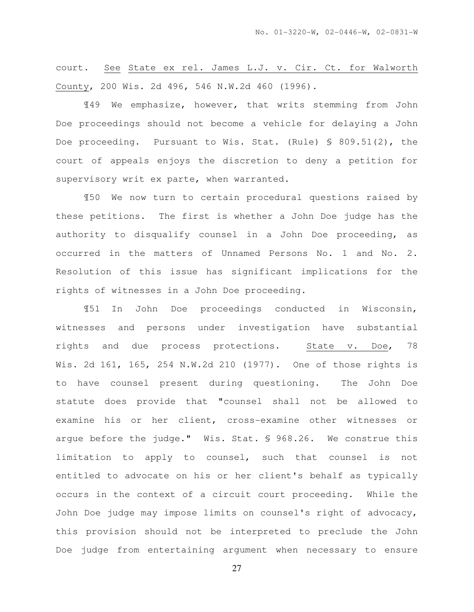court. See State ex rel. James L.J. v. Cir. Ct. for Walworth County, 200 Wis. 2d 496, 546 N.W.2d 460 (1996).

¶49 We emphasize, however, that writs stemming from John Doe proceedings should not become a vehicle for delaying a John Doe proceeding. Pursuant to Wis. Stat. (Rule) § 809.51(2), the court of appeals enjoys the discretion to deny a petition for supervisory writ ex parte, when warranted.

¶50 We now turn to certain procedural questions raised by these petitions. The first is whether a John Doe judge has the authority to disqualify counsel in a John Doe proceeding, as occurred in the matters of Unnamed Persons No. 1 and No. 2. Resolution of this issue has significant implications for the rights of witnesses in a John Doe proceeding.

¶51 In John Doe proceedings conducted in Wisconsin, witnesses and persons under investigation have substantial rights and due process protections. State v. Doe, 78 Wis. 2d 161, 165, 254 N.W.2d 210 (1977). One of those rights is to have counsel present during questioning. The John Doe statute does provide that "counsel shall not be allowed to examine his or her client, cross-examine other witnesses or argue before the judge." Wis. Stat. § 968.26. We construe this limitation to apply to counsel, such that counsel is not entitled to advocate on his or her client's behalf as typically occurs in the context of a circuit court proceeding. While the John Doe judge may impose limits on counsel's right of advocacy, this provision should not be interpreted to preclude the John Doe judge from entertaining argument when necessary to ensure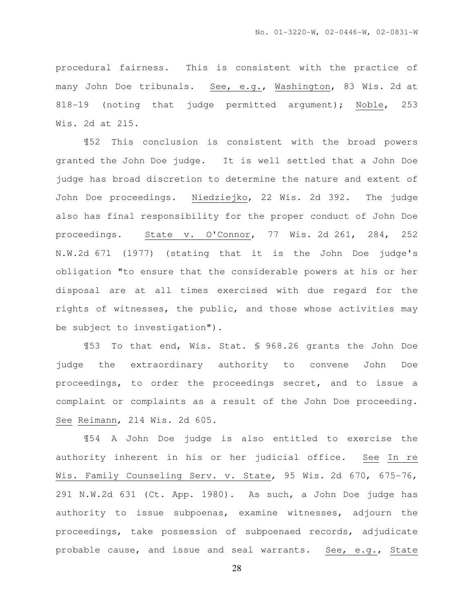procedural fairness. This is consistent with the practice of many John Doe tribunals. See, e.g., Washington, 83 Wis. 2d at 818-19 (noting that judge permitted argument); Noble, 253 Wis. 2d at 215.

¶52 This conclusion is consistent with the broad powers granted the John Doe judge. It is well settled that a John Doe judge has broad discretion to determine the nature and extent of John Doe proceedings. Niedziejko, 22 Wis. 2d 392. The judge also has final responsibility for the proper conduct of John Doe proceedings. State v. O'Connor, 77 Wis. 2d 261, 284, 252 N.W.2d 671 (1977) (stating that it is the John Doe judge's obligation "to ensure that the considerable powers at his or her disposal are at all times exercised with due regard for the rights of witnesses, the public, and those whose activities may be subject to investigation").

¶53 To that end, Wis. Stat. § 968.26 grants the John Doe judge the extraordinary authority to convene John Doe proceedings, to order the proceedings secret, and to issue a complaint or complaints as a result of the John Doe proceeding. See Reimann, 214 Wis. 2d 605.

¶54 A John Doe judge is also entitled to exercise the authority inherent in his or her judicial office. See In re Wis. Family Counseling Serv. v. State, 95 Wis. 2d 670, 675-76, 291 N.W.2d 631 (Ct. App. 1980). As such, a John Doe judge has authority to issue subpoenas, examine witnesses, adjourn the proceedings, take possession of subpoenaed records, adjudicate probable cause, and issue and seal warrants. See, e.g., State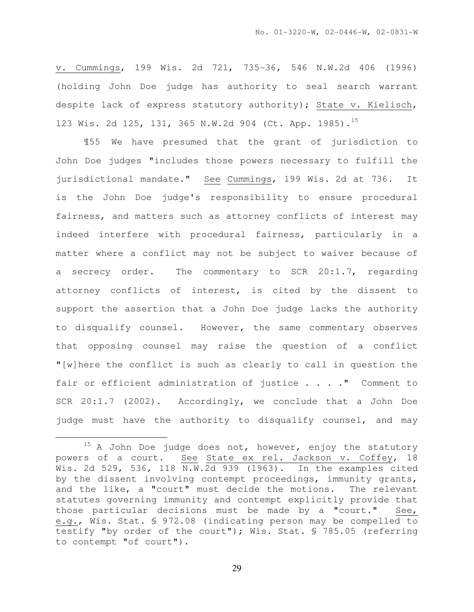v. Cummings, 199 Wis. 2d 721, 735-36, 546 N.W.2d 406 (1996) (holding John Doe judge has authority to seal search warrant despite lack of express statutory authority); State v. Kielisch, 123 Wis. 2d 125, 131, 365 N.W.2d 904 (Ct. App. 1985).<sup>15</sup>

¶55 We have presumed that the grant of jurisdiction to John Doe judges "includes those powers necessary to fulfill the jurisdictional mandate." See Cummings, 199 Wis. 2d at 736. It is the John Doe judge's responsibility to ensure procedural fairness, and matters such as attorney conflicts of interest may indeed interfere with procedural fairness, particularly in a matter where a conflict may not be subject to waiver because of a secrecy order. The commentary to SCR 20:1.7, regarding attorney conflicts of interest, is cited by the dissent to support the assertion that a John Doe judge lacks the authority to disqualify counsel. However, the same commentary observes that opposing counsel may raise the question of a conflict "[w]here the conflict is such as clearly to call in question the fair or efficient administration of justice . . . . " Comment to SCR 20:1.7 (2002). Accordingly, we conclude that a John Doe judge must have the authority to disqualify counsel, and may

l.

 $15$  A John Doe judge does not, however, enjoy the statutory powers of a court. See State ex rel. Jackson v. Coffey, 18 Wis. 2d 529, 536, 118 N.W.2d 939 (1963). In the examples cited by the dissent involving contempt proceedings, immunity grants, and the like, a "court" must decide the motions. The relevant statutes governing immunity and contempt explicitly provide that those particular decisions must be made by a "court." See, e.g., Wis. Stat. § 972.08 (indicating person may be compelled to testify "by order of the court"); Wis. Stat. § 785.05 (referring to contempt "of court").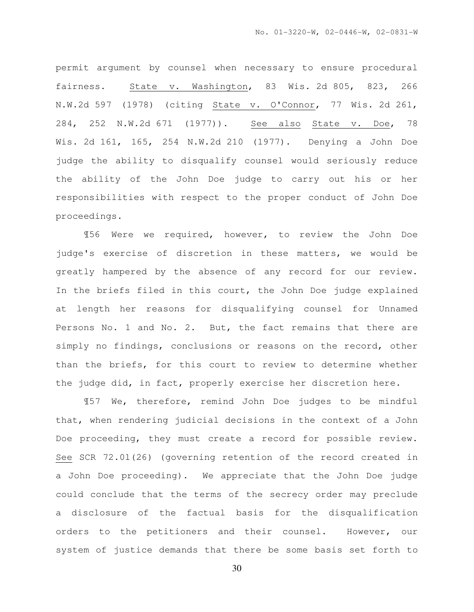permit argument by counsel when necessary to ensure procedural fairness. State v. Washington, 83 Wis. 2d 805, 823, 266 N.W.2d 597 (1978) (citing State v. O'Connor, 77 Wis. 2d 261, 284, 252 N.W.2d 671 (1977)). See also State v. Doe, 78 Wis. 2d 161, 165, 254 N.W.2d 210 (1977). Denying a John Doe judge the ability to disqualify counsel would seriously reduce the ability of the John Doe judge to carry out his or her responsibilities with respect to the proper conduct of John Doe proceedings.

 ¶56 Were we required, however, to review the John Doe judge's exercise of discretion in these matters, we would be greatly hampered by the absence of any record for our review. In the briefs filed in this court, the John Doe judge explained at length her reasons for disqualifying counsel for Unnamed Persons No. 1 and No. 2. But, the fact remains that there are simply no findings, conclusions or reasons on the record, other than the briefs, for this court to review to determine whether the judge did, in fact, properly exercise her discretion here.

¶57 We, therefore, remind John Doe judges to be mindful that, when rendering judicial decisions in the context of a John Doe proceeding, they must create a record for possible review. See SCR 72.01(26) (governing retention of the record created in a John Doe proceeding). We appreciate that the John Doe judge could conclude that the terms of the secrecy order may preclude a disclosure of the factual basis for the disqualification orders to the petitioners and their counsel. However, our system of justice demands that there be some basis set forth to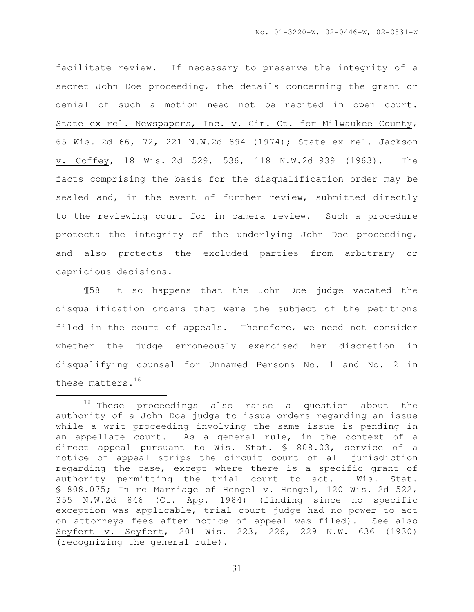facilitate review. If necessary to preserve the integrity of a secret John Doe proceeding, the details concerning the grant or denial of such a motion need not be recited in open court. State ex rel. Newspapers, Inc. v. Cir. Ct. for Milwaukee County, 65 Wis. 2d 66, 72, 221 N.W.2d 894 (1974); State ex rel. Jackson v. Coffey, 18 Wis. 2d 529, 536, 118 N.W.2d 939 (1963). The facts comprising the basis for the disqualification order may be sealed and, in the event of further review, submitted directly to the reviewing court for in camera review. Such a procedure protects the integrity of the underlying John Doe proceeding, and also protects the excluded parties from arbitrary or capricious decisions.

¶58 It so happens that the John Doe judge vacated the disqualification orders that were the subject of the petitions filed in the court of appeals. Therefore, we need not consider whether the judge erroneously exercised her discretion in disqualifying counsel for Unnamed Persons No. 1 and No. 2 in these matters.<sup>16</sup>

l.

<sup>&</sup>lt;sup>16</sup> These proceedings also raise a question about the authority of a John Doe judge to issue orders regarding an issue while a writ proceeding involving the same issue is pending in an appellate court. As a general rule, in the context of a direct appeal pursuant to Wis. Stat. § 808.03, service of a notice of appeal strips the circuit court of all jurisdiction regarding the case, except where there is a specific grant of authority permitting the trial court to act. Wis. Stat. § 808.075; In re Marriage of Hengel v. Hengel, 120 Wis. 2d 522, 355 N.W.2d 846 (Ct. App. 1984) (finding since no specific exception was applicable, trial court judge had no power to act on attorneys fees after notice of appeal was filed). See also Seyfert v. Seyfert, 201 Wis. 223, 226, 229 N.W. 636 (1930) (recognizing the general rule).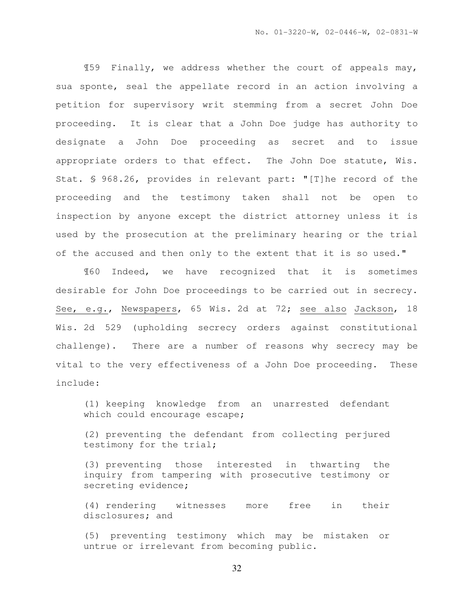¶59 Finally, we address whether the court of appeals may, sua sponte, seal the appellate record in an action involving a petition for supervisory writ stemming from a secret John Doe proceeding. It is clear that a John Doe judge has authority to designate a John Doe proceeding as secret and to issue appropriate orders to that effect. The John Doe statute, Wis. Stat. § 968.26, provides in relevant part: "[T]he record of the proceeding and the testimony taken shall not be open to inspection by anyone except the district attorney unless it is used by the prosecution at the preliminary hearing or the trial of the accused and then only to the extent that it is so used."

¶60 Indeed, we have recognized that it is sometimes desirable for John Doe proceedings to be carried out in secrecy. See, e.g., Newspapers, 65 Wis. 2d at 72; see also Jackson, 18 Wis. 2d 529 (upholding secrecy orders against constitutional challenge). There are a number of reasons why secrecy may be vital to the very effectiveness of a John Doe proceeding. These include:

(1) keeping knowledge from an unarrested defendant which could encourage escape;

(2) preventing the defendant from collecting perjured testimony for the trial;

(3) preventing those interested in thwarting the inquiry from tampering with prosecutive testimony or secreting evidence;

(4) rendering witnesses more free in their disclosures; and

(5) preventing testimony which may be mistaken or untrue or irrelevant from becoming public.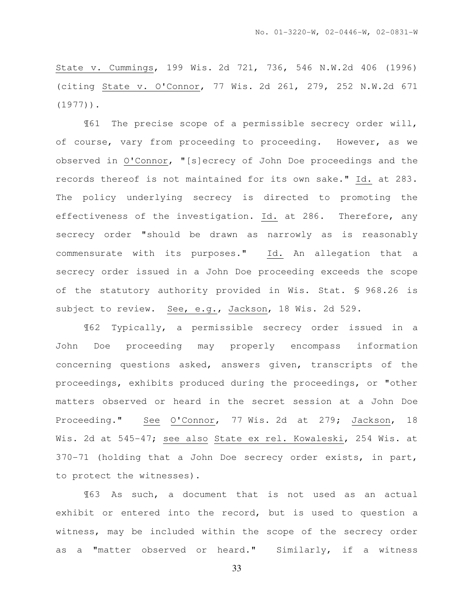State v. Cummings, 199 Wis. 2d 721, 736, 546 N.W.2d 406 (1996) (citing State v. O'Connor, 77 Wis. 2d 261, 279, 252 N.W.2d 671 (1977)).

¶61 The precise scope of a permissible secrecy order will, of course, vary from proceeding to proceeding. However, as we observed in O'Connor, "[s]ecrecy of John Doe proceedings and the records thereof is not maintained for its own sake." Id. at 283. The policy underlying secrecy is directed to promoting the effectiveness of the investigation. Id. at 286. Therefore, any secrecy order "should be drawn as narrowly as is reasonably commensurate with its purposes." Id. An allegation that a secrecy order issued in a John Doe proceeding exceeds the scope of the statutory authority provided in Wis. Stat. § 968.26 is subject to review. See, e.g., Jackson, 18 Wis. 2d 529.

¶62 Typically, a permissible secrecy order issued in a John Doe proceeding may properly encompass information concerning questions asked, answers given, transcripts of the proceedings, exhibits produced during the proceedings, or "other matters observed or heard in the secret session at a John Doe Proceeding." See O'Connor, 77 Wis. 2d at 279; Jackson, 18 Wis. 2d at 545-47; see also State ex rel. Kowaleski, 254 Wis. at 370-71 (holding that a John Doe secrecy order exists, in part, to protect the witnesses).

¶63 As such, a document that is not used as an actual exhibit or entered into the record, but is used to question a witness, may be included within the scope of the secrecy order as a "matter observed or heard." Similarly, if a witness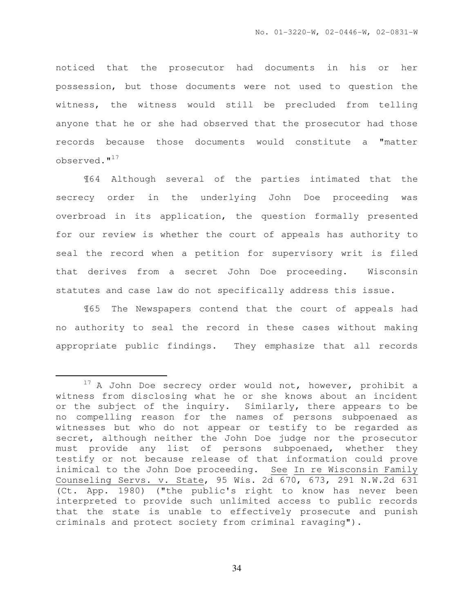noticed that the prosecutor had documents in his or her possession, but those documents were not used to question the witness, the witness would still be precluded from telling anyone that he or she had observed that the prosecutor had those records because those documents would constitute a "matter observed."<sup>17</sup>

¶64 Although several of the parties intimated that the secrecy order in the underlying John Doe proceeding was overbroad in its application, the question formally presented for our review is whether the court of appeals has authority to seal the record when a petition for supervisory writ is filed that derives from a secret John Doe proceeding. Wisconsin statutes and case law do not specifically address this issue.

¶65 The Newspapers contend that the court of appeals had no authority to seal the record in these cases without making appropriate public findings. They emphasize that all records

 $\overline{a}$ 

 $17$  A John Doe secrecy order would not, however, prohibit a witness from disclosing what he or she knows about an incident or the subject of the inquiry. Similarly, there appears to be no compelling reason for the names of persons subpoenaed as witnesses but who do not appear or testify to be regarded as secret, although neither the John Doe judge nor the prosecutor must provide any list of persons subpoenaed, whether they testify or not because release of that information could prove inimical to the John Doe proceeding. See In re Wisconsin Family Counseling Servs. v. State, 95 Wis. 2d 670, 673, 291 N.W.2d 631 (Ct. App. 1980) ("the public's right to know has never been interpreted to provide such unlimited access to public records that the state is unable to effectively prosecute and punish criminals and protect society from criminal ravaging").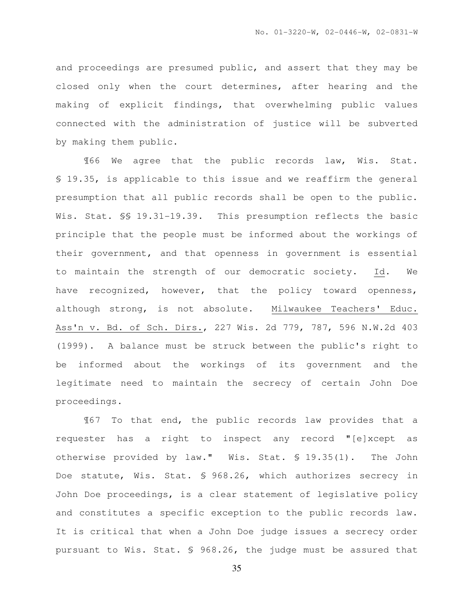and proceedings are presumed public, and assert that they may be closed only when the court determines, after hearing and the making of explicit findings, that overwhelming public values connected with the administration of justice will be subverted by making them public.

¶66 We agree that the public records law, Wis. Stat. § 19.35, is applicable to this issue and we reaffirm the general presumption that all public records shall be open to the public. Wis. Stat. §§ 19.31-19.39. This presumption reflects the basic principle that the people must be informed about the workings of their government, and that openness in government is essential to maintain the strength of our democratic society. Id. We have recognized, however, that the policy toward openness, although strong, is not absolute. Milwaukee Teachers' Educ. Ass'n v. Bd. of Sch. Dirs., 227 Wis. 2d 779, 787, 596 N.W.2d 403 (1999). A balance must be struck between the public's right to be informed about the workings of its government and the legitimate need to maintain the secrecy of certain John Doe proceedings.

¶67 To that end, the public records law provides that a requester has a right to inspect any record "[e]xcept as otherwise provided by law." Wis. Stat. § 19.35(1). The John Doe statute, Wis. Stat. § 968.26, which authorizes secrecy in John Doe proceedings, is a clear statement of legislative policy and constitutes a specific exception to the public records law. It is critical that when a John Doe judge issues a secrecy order pursuant to Wis. Stat. § 968.26, the judge must be assured that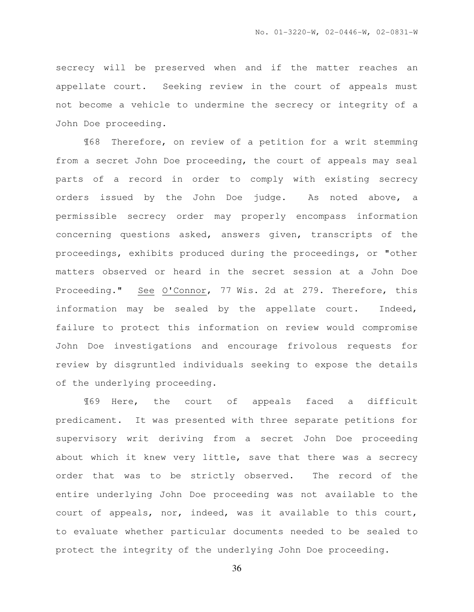secrecy will be preserved when and if the matter reaches an appellate court. Seeking review in the court of appeals must not become a vehicle to undermine the secrecy or integrity of a John Doe proceeding.

¶68 Therefore, on review of a petition for a writ stemming from a secret John Doe proceeding, the court of appeals may seal parts of a record in order to comply with existing secrecy orders issued by the John Doe judge. As noted above, a permissible secrecy order may properly encompass information concerning questions asked, answers given, transcripts of the proceedings, exhibits produced during the proceedings, or "other matters observed or heard in the secret session at a John Doe Proceeding." See O'Connor, 77 Wis. 2d at 279. Therefore, this information may be sealed by the appellate court. Indeed, failure to protect this information on review would compromise John Doe investigations and encourage frivolous requests for review by disgruntled individuals seeking to expose the details of the underlying proceeding.

¶69 Here, the court of appeals faced a difficult predicament. It was presented with three separate petitions for supervisory writ deriving from a secret John Doe proceeding about which it knew very little, save that there was a secrecy order that was to be strictly observed. The record of the entire underlying John Doe proceeding was not available to the court of appeals, nor, indeed, was it available to this court, to evaluate whether particular documents needed to be sealed to protect the integrity of the underlying John Doe proceeding.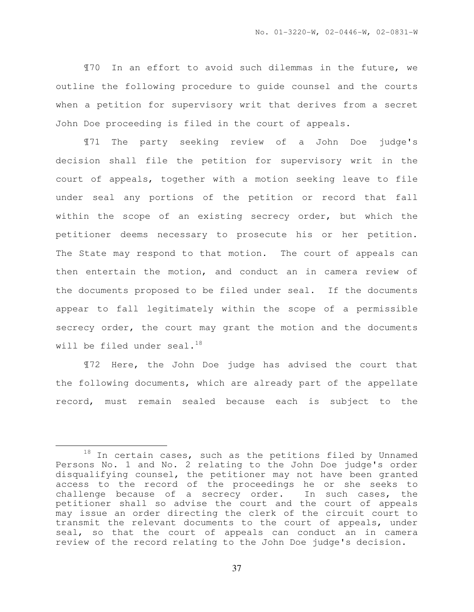¶70 In an effort to avoid such dilemmas in the future, we outline the following procedure to guide counsel and the courts when a petition for supervisory writ that derives from a secret John Doe proceeding is filed in the court of appeals.

¶71 The party seeking review of a John Doe judge's decision shall file the petition for supervisory writ in the court of appeals, together with a motion seeking leave to file under seal any portions of the petition or record that fall within the scope of an existing secrecy order, but which the petitioner deems necessary to prosecute his or her petition. The State may respond to that motion. The court of appeals can then entertain the motion, and conduct an in camera review of the documents proposed to be filed under seal. If the documents appear to fall legitimately within the scope of a permissible secrecy order, the court may grant the motion and the documents will be filed under seal. $^{18}$ 

¶72 Here, the John Doe judge has advised the court that the following documents, which are already part of the appellate record, must remain sealed because each is subject to the

 $\overline{a}$ 

 $18$  In certain cases, such as the petitions filed by Unnamed Persons No. 1 and No. 2 relating to the John Doe judge's order disqualifying counsel, the petitioner may not have been granted access to the record of the proceedings he or she seeks to challenge because of a secrecy order. In such cases, the petitioner shall so advise the court and the court of appeals may issue an order directing the clerk of the circuit court to transmit the relevant documents to the court of appeals, under seal, so that the court of appeals can conduct an in camera review of the record relating to the John Doe judge's decision.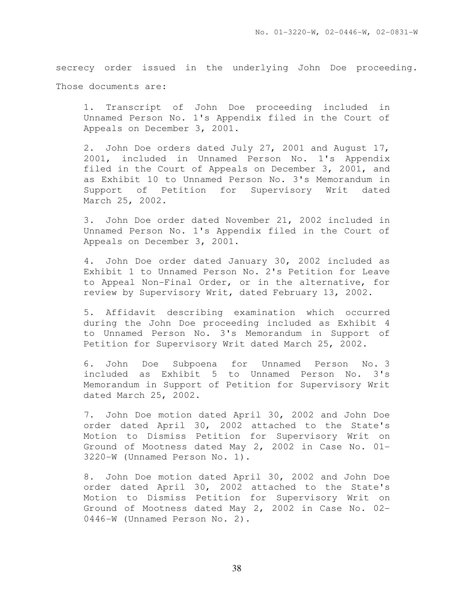secrecy order issued in the underlying John Doe proceeding. Those documents are:

1. Transcript of John Doe proceeding included in Unnamed Person No. 1's Appendix filed in the Court of Appeals on December 3, 2001.

2. John Doe orders dated July 27, 2001 and August 17, 2001, included in Unnamed Person No. 1's Appendix filed in the Court of Appeals on December 3, 2001, and as Exhibit 10 to Unnamed Person No. 3's Memorandum in Support of Petition for Supervisory Writ dated March 25, 2002.

3. John Doe order dated November 21, 2002 included in Unnamed Person No. 1's Appendix filed in the Court of Appeals on December 3, 2001.

4. John Doe order dated January 30, 2002 included as Exhibit 1 to Unnamed Person No. 2's Petition for Leave to Appeal Non-Final Order, or in the alternative, for review by Supervisory Writ, dated February 13, 2002.

5. Affidavit describing examination which occurred during the John Doe proceeding included as Exhibit 4 to Unnamed Person No. 3's Memorandum in Support of Petition for Supervisory Writ dated March 25, 2002.

6. John Doe Subpoena for Unnamed Person No. 3 included as Exhibit 5 to Unnamed Person No. 3's Memorandum in Support of Petition for Supervisory Writ dated March 25, 2002.

7. John Doe motion dated April 30, 2002 and John Doe order dated April 30, 2002 attached to the State's Motion to Dismiss Petition for Supervisory Writ on Ground of Mootness dated May 2, 2002 in Case No. 01- 3220-W (Unnamed Person No. 1).

8. John Doe motion dated April 30, 2002 and John Doe order dated April 30, 2002 attached to the State's Motion to Dismiss Petition for Supervisory Writ on Ground of Mootness dated May 2, 2002 in Case No. 02- 0446-W (Unnamed Person No. 2).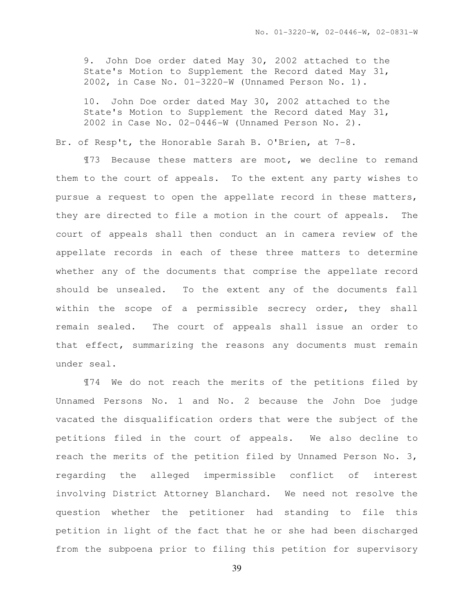9. John Doe order dated May 30, 2002 attached to the State's Motion to Supplement the Record dated May 31, 2002, in Case No. 01-3220-W (Unnamed Person No. 1).

10. John Doe order dated May 30, 2002 attached to the State's Motion to Supplement the Record dated May 31, 2002 in Case No. 02-0446-W (Unnamed Person No. 2).

Br. of Resp't, the Honorable Sarah B. O'Brien, at 7-8.

¶73 Because these matters are moot, we decline to remand them to the court of appeals. To the extent any party wishes to pursue a request to open the appellate record in these matters, they are directed to file a motion in the court of appeals. The court of appeals shall then conduct an in camera review of the appellate records in each of these three matters to determine whether any of the documents that comprise the appellate record should be unsealed. To the extent any of the documents fall within the scope of a permissible secrecy order, they shall remain sealed. The court of appeals shall issue an order to that effect, summarizing the reasons any documents must remain under seal.

¶74 We do not reach the merits of the petitions filed by Unnamed Persons No. 1 and No. 2 because the John Doe judge vacated the disqualification orders that were the subject of the petitions filed in the court of appeals. We also decline to reach the merits of the petition filed by Unnamed Person No. 3, regarding the alleged impermissible conflict of interest involving District Attorney Blanchard. We need not resolve the question whether the petitioner had standing to file this petition in light of the fact that he or she had been discharged from the subpoena prior to filing this petition for supervisory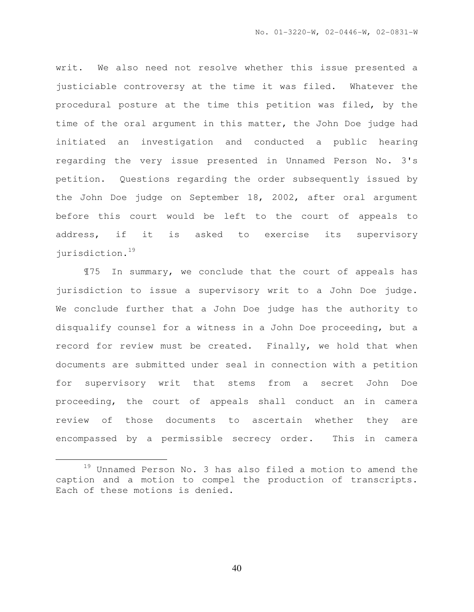writ. We also need not resolve whether this issue presented a justiciable controversy at the time it was filed. Whatever the procedural posture at the time this petition was filed, by the time of the oral argument in this matter, the John Doe judge had initiated an investigation and conducted a public hearing regarding the very issue presented in Unnamed Person No. 3's petition. Questions regarding the order subsequently issued by the John Doe judge on September 18, 2002, after oral argument before this court would be left to the court of appeals to address, if it is asked to exercise its supervisory jurisdiction.<sup>19</sup>

¶75 In summary, we conclude that the court of appeals has jurisdiction to issue a supervisory writ to a John Doe judge. We conclude further that a John Doe judge has the authority to disqualify counsel for a witness in a John Doe proceeding, but a record for review must be created. Finally, we hold that when documents are submitted under seal in connection with a petition for supervisory writ that stems from a secret John Doe proceeding, the court of appeals shall conduct an in camera review of those documents to ascertain whether they are encompassed by a permissible secrecy order. This in camera

l.

<sup>19</sup> Unnamed Person No. 3 has also filed a motion to amend the caption and a motion to compel the production of transcripts. Each of these motions is denied.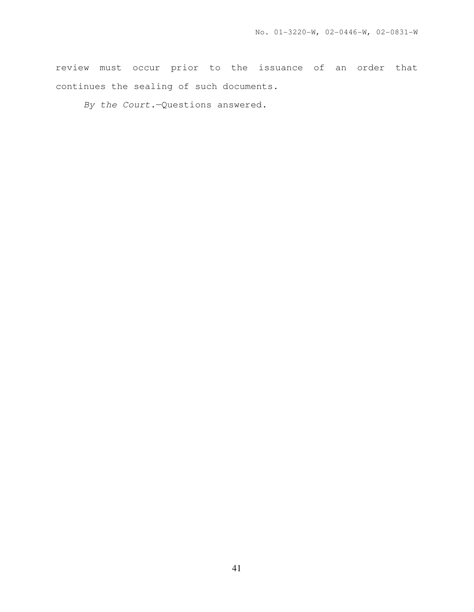review must occur prior to the issuance of an order that continues the sealing of such documents.

By the Court.—Questions answered.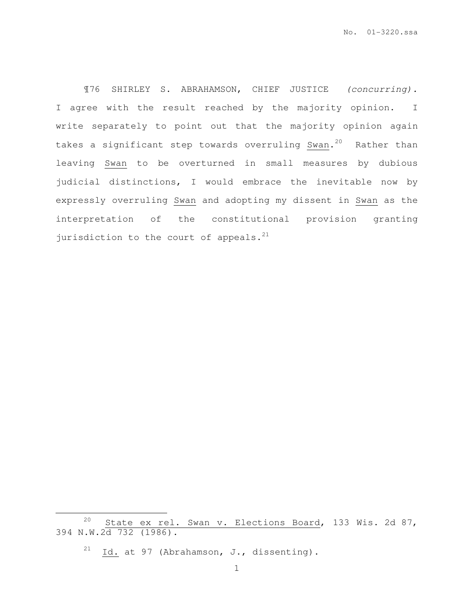¶76 SHIRLEY S. ABRAHAMSON, CHIEF JUSTICE (concurring). I agree with the result reached by the majority opinion. I write separately to point out that the majority opinion again takes a significant step towards overruling Swan.<sup>20</sup> Rather than leaving Swan to be overturned in small measures by dubious judicial distinctions, I would embrace the inevitable now by expressly overruling Swan and adopting my dissent in Swan as the interpretation of the constitutional provision granting jurisdiction to the court of appeals. $21$ 

l.

<sup>20</sup> State ex rel. Swan v. Elections Board, 133 Wis. 2d 87, 394 N.W.2d 732 (1986).

<sup>&</sup>lt;sup>21</sup> Id. at 97 (Abrahamson, J., dissenting).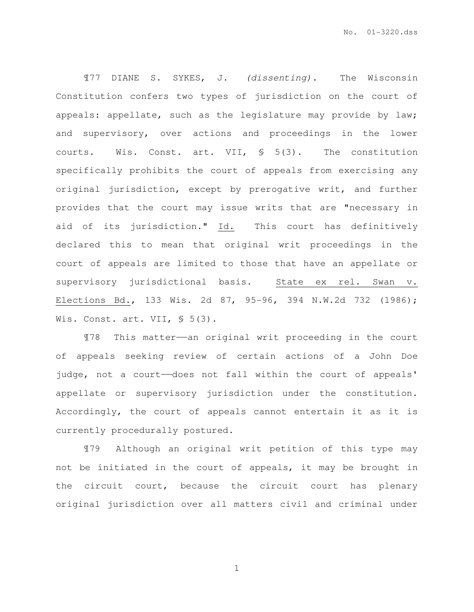¶77 DIANE S. SYKES, J. (dissenting). The Wisconsin Constitution confers two types of jurisdiction on the court of appeals: appellate, such as the legislature may provide by law; and supervisory, over actions and proceedings in the lower courts. Wis. Const. art. VII, § 5(3). The constitution specifically prohibits the court of appeals from exercising any original jurisdiction, except by prerogative writ, and further provides that the court may issue writs that are "necessary in aid of its jurisdiction." Id. This court has definitively declared this to mean that original writ proceedings in the court of appeals are limited to those that have an appellate or supervisory jurisdictional basis. State ex rel. Swan v. Elections Bd., 133 Wis. 2d 87, 95-96, 394 N.W.2d 732 (1986); Wis. Const. art. VII, § 5(3).

¶78 This matter——an original writ proceeding in the court of appeals seeking review of certain actions of a John Doe judge, not a court--does not fall within the court of appeals' appellate or supervisory jurisdiction under the constitution. Accordingly, the court of appeals cannot entertain it as it is currently procedurally postured.

¶79 Although an original writ petition of this type may not be initiated in the court of appeals, it may be brought in the circuit court, because the circuit court has plenary original jurisdiction over all matters civil and criminal under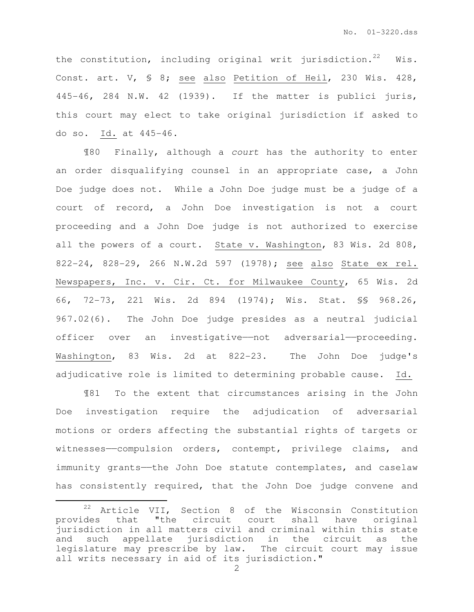the constitution, including original writ jurisdiction.<sup>22</sup> Wis. Const. art. V, § 8; see also Petition of Heil, 230 Wis. 428, 445-46, 284 N.W. 42 (1939). If the matter is publici juris, this court may elect to take original jurisdiction if asked to do so. Id. at 445-46.

¶80 Finally, although a court has the authority to enter an order disqualifying counsel in an appropriate case, a John Doe judge does not. While a John Doe judge must be a judge of a court of record, a John Doe investigation is not a court proceeding and a John Doe judge is not authorized to exercise all the powers of a court. State v. Washington, 83 Wis. 2d 808, 822-24, 828-29, 266 N.W.2d 597 (1978); see also State ex rel. Newspapers, Inc. v. Cir. Ct. for Milwaukee County, 65 Wis. 2d 66, 72-73, 221 Wis. 2d 894 (1974); Wis. Stat. §§ 968.26, 967.02(6). The John Doe judge presides as a neutral judicial officer over an investigative——not adversarial——proceeding. Washington, 83 Wis. 2d at 822-23. The John Doe judge's adjudicative role is limited to determining probable cause. Id.

¶81 To the extent that circumstances arising in the John Doe investigation require the adjudication of adversarial motions or orders affecting the substantial rights of targets or witnesses——compulsion orders, contempt, privilege claims, and immunity grants——the John Doe statute contemplates, and caselaw has consistently required, that the John Doe judge convene and

 $\overline{a}$ 

<sup>22</sup> Article VII, Section 8 of the Wisconsin Constitution provides that "the circuit court shall have original jurisdiction in all matters civil and criminal within this state and such appellate jurisdiction in the circuit as the legislature may prescribe by law. The circuit court may issue all writs necessary in aid of its jurisdiction."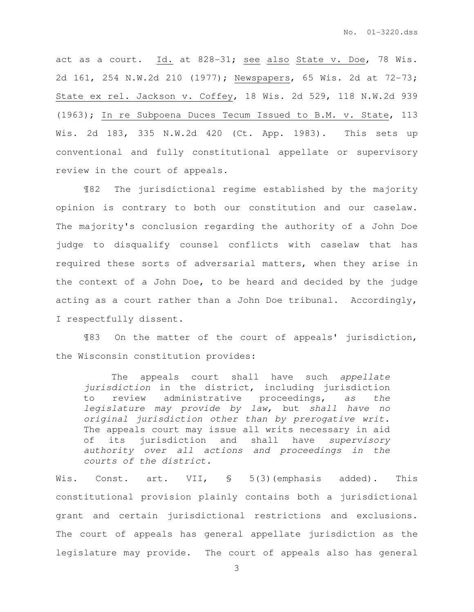act as a court. Id. at 828-31; see also State v. Doe, 78 Wis. 2d 161, 254 N.W.2d 210 (1977); Newspapers, 65 Wis. 2d at 72-73; State ex rel. Jackson v. Coffey, 18 Wis. 2d 529, 118 N.W.2d 939 (1963); In re Subpoena Duces Tecum Issued to B.M. v. State, 113 Wis. 2d 183, 335 N.W.2d 420 (Ct. App. 1983). This sets up conventional and fully constitutional appellate or supervisory review in the court of appeals.

¶82 The jurisdictional regime established by the majority opinion is contrary to both our constitution and our caselaw. The majority's conclusion regarding the authority of a John Doe judge to disqualify counsel conflicts with caselaw that has required these sorts of adversarial matters, when they arise in the context of a John Doe, to be heard and decided by the judge acting as a court rather than a John Doe tribunal. Accordingly, I respectfully dissent.

¶83 On the matter of the court of appeals' jurisdiction, the Wisconsin constitution provides:

The appeals court shall have such appellate jurisdiction in the district, including jurisdiction to review administrative proceedings, as the legislature may provide by law, but shall have no original jurisdiction other than by prerogative writ. The appeals court may issue all writs necessary in aid of its jurisdiction and shall have supervisory authority over all actions and proceedings in the courts of the district.

Wis. Const. art. VII, § 5(3)(emphasis added). This constitutional provision plainly contains both a jurisdictional grant and certain jurisdictional restrictions and exclusions. The court of appeals has general appellate jurisdiction as the legislature may provide. The court of appeals also has general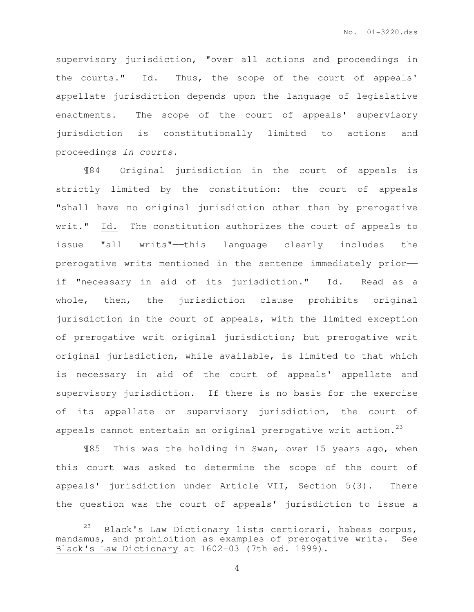supervisory jurisdiction, "over all actions and proceedings in the courts." Id. Thus, the scope of the court of appeals' appellate jurisdiction depends upon the language of legislative enactments. The scope of the court of appeals' supervisory jurisdiction is constitutionally limited to actions and proceedings in courts.

¶84 Original jurisdiction in the court of appeals is strictly limited by the constitution: the court of appeals "shall have no original jurisdiction other than by prerogative writ." Id. The constitution authorizes the court of appeals to issue "all writs"——this language clearly includes the prerogative writs mentioned in the sentence immediately prior— if "necessary in aid of its jurisdiction." Id. Read as a whole, then, the jurisdiction clause prohibits original jurisdiction in the court of appeals, with the limited exception of prerogative writ original jurisdiction; but prerogative writ original jurisdiction, while available, is limited to that which is necessary in aid of the court of appeals' appellate and supervisory jurisdiction. If there is no basis for the exercise of its appellate or supervisory jurisdiction, the court of appeals cannot entertain an original prerogative writ action.<sup>23</sup>

¶85 This was the holding in Swan, over 15 years ago, when this court was asked to determine the scope of the court of appeals' jurisdiction under Article VII, Section 5(3). There the question was the court of appeals' jurisdiction to issue a

l.

 $23$  Black's Law Dictionary lists certiorari, habeas corpus, mandamus, and prohibition as examples of prerogative writs. See Black's Law Dictionary at 1602-03 (7th ed. 1999).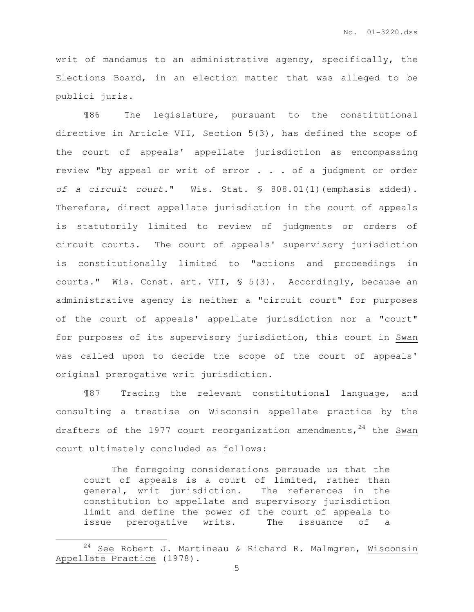writ of mandamus to an administrative agency, specifically, the Elections Board, in an election matter that was alleged to be publici juris.

¶86 The legislature, pursuant to the constitutional directive in Article VII, Section 5(3), has defined the scope of the court of appeals' appellate jurisdiction as encompassing review "by appeal or writ of error . . . of a judgment or order of a circuit court." Wis. Stat. § 808.01(1)(emphasis added). Therefore, direct appellate jurisdiction in the court of appeals is statutorily limited to review of judgments or orders of circuit courts. The court of appeals' supervisory jurisdiction is constitutionally limited to "actions and proceedings in courts." Wis. Const. art. VII, § 5(3). Accordingly, because an administrative agency is neither a "circuit court" for purposes of the court of appeals' appellate jurisdiction nor a "court" for purposes of its supervisory jurisdiction, this court in Swan was called upon to decide the scope of the court of appeals' original prerogative writ jurisdiction.

¶87 Tracing the relevant constitutional language, and consulting a treatise on Wisconsin appellate practice by the drafters of the 1977 court reorganization amendments,  $24$  the Swan court ultimately concluded as follows:

The foregoing considerations persuade us that the court of appeals is a court of limited, rather than general, writ jurisdiction. The references in the constitution to appellate and supervisory jurisdiction limit and define the power of the court of appeals to issue prerogative writs. The issuance of a

 $\overline{a}$ 

 $24$  See Robert J. Martineau & Richard R. Malmgren, Wisconsin Appellate Practice (1978).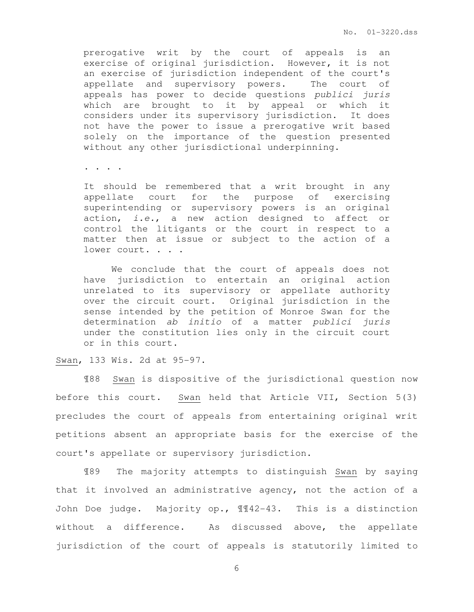prerogative writ by the court of appeals is an exercise of original jurisdiction. However, it is not an exercise of jurisdiction independent of the court's appellate and supervisory powers. The court of appeals has power to decide questions publici juris which are brought to it by appeal or which it considers under its supervisory jurisdiction. It does not have the power to issue a prerogative writ based solely on the importance of the question presented without any other jurisdictional underpinning.

. . . .

It should be remembered that a writ brought in any appellate court for the purpose of exercising superintending or supervisory powers is an original action, i.e., a new action designed to affect or control the litigants or the court in respect to a matter then at issue or subject to the action of a lower court. . . .

We conclude that the court of appeals does not have jurisdiction to entertain an original action unrelated to its supervisory or appellate authority over the circuit court. Original jurisdiction in the sense intended by the petition of Monroe Swan for the determination ab initio of a matter publici juris under the constitution lies only in the circuit court or in this court.

#### Swan, 133 Wis. 2d at 95-97.

¶88 Swan is dispositive of the jurisdictional question now before this court. Swan held that Article VII, Section 5(3) precludes the court of appeals from entertaining original writ petitions absent an appropriate basis for the exercise of the court's appellate or supervisory jurisdiction.

¶89 The majority attempts to distinguish Swan by saying that it involved an administrative agency, not the action of a John Doe judge. Majority op., ¶¶42-43. This is a distinction without a difference. As discussed above, the appellate jurisdiction of the court of appeals is statutorily limited to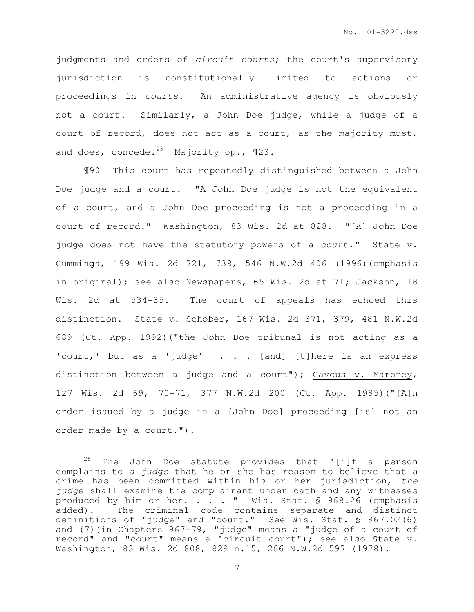judgments and orders of circuit courts; the court's supervisory jurisdiction is constitutionally limited to actions or proceedings in courts. An administrative agency is obviously not a court. Similarly, a John Doe judge, while a judge of a court of record, does not act as a court, as the majority must, and does, concede.<sup>25</sup> Majority op.,  $\mathbb{I}23$ .

¶90 This court has repeatedly distinguished between a John Doe judge and a court. "A John Doe judge is not the equivalent of a court, and a John Doe proceeding is not a proceeding in a court of record." Washington, 83 Wis. 2d at 828. "[A] John Doe judge does not have the statutory powers of a court." State v. Cummings, 199 Wis. 2d 721, 738, 546 N.W.2d 406 (1996)(emphasis in original); see also Newspapers, 65 Wis. 2d at 71; Jackson, 18 Wis. 2d at 534-35. The court of appeals has echoed this distinction. State v. Schober, 167 Wis. 2d 371, 379, 481 N.W.2d 689 (Ct. App. 1992)("the John Doe tribunal is not acting as a 'court,' but as a 'judge' . . . [and] [t]here is an express distinction between a judge and a court"); Gavcus v. Maroney, 127 Wis. 2d 69, 70-71, 377 N.W.2d 200 (Ct. App. 1985)("[A]n order issued by a judge in a [John Doe] proceeding [is] not an order made by a court.").

 $\overline{a}$ 

<sup>&</sup>lt;sup>25</sup> The John Doe statute provides that "[i]f a person complains to a judge that he or she has reason to believe that a crime has been committed within his or her jurisdiction, the judge shall examine the complainant under oath and any witnesses produced by him or her. . . . " Wis. Stat. § 968.26 (emphasis added). The criminal code contains separate and distinct definitions of "judge" and "court." See Wis. Stat. § 967.02(6) and (7)(in Chapters 967-79, "judge" means a "judge of a court of record" and "court" means a "circuit court"); see also State v. Washington, 83 Wis. 2d 808, 829 n.15, 266 N.W.2d 597 (1978).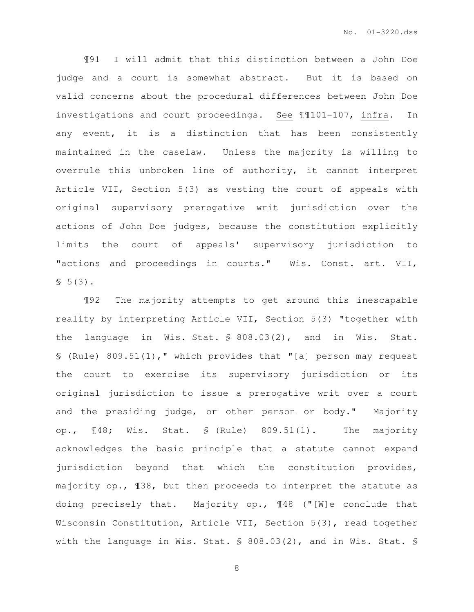¶91 I will admit that this distinction between a John Doe judge and a court is somewhat abstract. But it is based on valid concerns about the procedural differences between John Doe investigations and court proceedings. See ¶¶101-107, infra. In any event, it is a distinction that has been consistently maintained in the caselaw. Unless the majority is willing to overrule this unbroken line of authority, it cannot interpret Article VII, Section 5(3) as vesting the court of appeals with original supervisory prerogative writ jurisdiction over the actions of John Doe judges, because the constitution explicitly limits the court of appeals' supervisory jurisdiction to "actions and proceedings in courts." Wis. Const. art. VII,  $$5(3).$ 

¶92 The majority attempts to get around this inescapable reality by interpreting Article VII, Section 5(3) "together with the language in Wis. Stat. § 808.03(2), and in Wis. Stat. § (Rule) 809.51(1)," which provides that "[a] person may request the court to exercise its supervisory jurisdiction or its original jurisdiction to issue a prerogative writ over a court and the presiding judge, or other person or body." Majority op., ¶48; Wis. Stat. § (Rule) 809.51(1). The majority acknowledges the basic principle that a statute cannot expand jurisdiction beyond that which the constitution provides, majority op., ¶38, but then proceeds to interpret the statute as doing precisely that. Majority op., ¶48 ("[W]e conclude that Wisconsin Constitution, Article VII, Section 5(3), read together with the language in Wis. Stat. § 808.03(2), and in Wis. Stat. §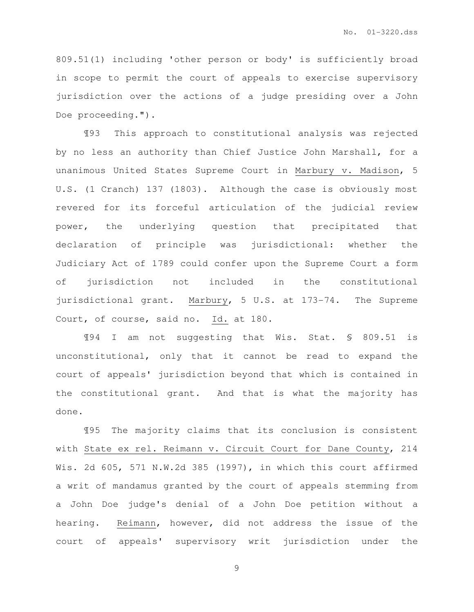809.51(1) including 'other person or body' is sufficiently broad in scope to permit the court of appeals to exercise supervisory jurisdiction over the actions of a judge presiding over a John Doe proceeding.").

¶93 This approach to constitutional analysis was rejected by no less an authority than Chief Justice John Marshall, for a unanimous United States Supreme Court in Marbury v. Madison, 5 U.S. (1 Cranch) 137 (1803). Although the case is obviously most revered for its forceful articulation of the judicial review power, the underlying question that precipitated that declaration of principle was jurisdictional: whether the Judiciary Act of 1789 could confer upon the Supreme Court a form of jurisdiction not included in the constitutional jurisdictional grant. Marbury, 5 U.S. at 173-74. The Supreme Court, of course, said no. Id. at 180.

¶94 I am not suggesting that Wis. Stat. § 809.51 is unconstitutional, only that it cannot be read to expand the court of appeals' jurisdiction beyond that which is contained in the constitutional grant. And that is what the majority has done.

¶95 The majority claims that its conclusion is consistent with State ex rel. Reimann v. Circuit Court for Dane County, 214 Wis. 2d 605, 571 N.W.2d 385 (1997), in which this court affirmed a writ of mandamus granted by the court of appeals stemming from a John Doe judge's denial of a John Doe petition without a hearing. Reimann, however, did not address the issue of the court of appeals' supervisory writ jurisdiction under the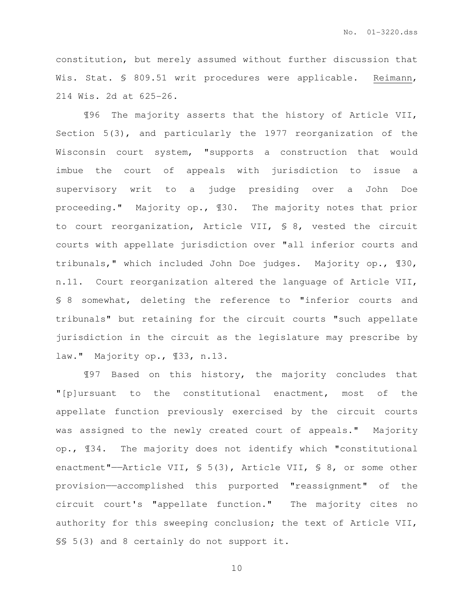constitution, but merely assumed without further discussion that Wis. Stat. § 809.51 writ procedures were applicable. Reimann, 214 Wis. 2d at 625-26.

¶96 The majority asserts that the history of Article VII, Section 5(3), and particularly the 1977 reorganization of the Wisconsin court system, "supports a construction that would imbue the court of appeals with jurisdiction to issue a supervisory writ to a judge presiding over a John Doe proceeding." Majority op., ¶30. The majority notes that prior to court reorganization, Article VII, § 8, vested the circuit courts with appellate jurisdiction over "all inferior courts and tribunals," which included John Doe judges. Majority op., ¶30, n.11. Court reorganization altered the language of Article VII, § 8 somewhat, deleting the reference to "inferior courts and tribunals" but retaining for the circuit courts "such appellate jurisdiction in the circuit as the legislature may prescribe by law." Majority op., ¶33, n.13.

¶97 Based on this history, the majority concludes that "[p]ursuant to the constitutional enactment, most of the appellate function previously exercised by the circuit courts was assigned to the newly created court of appeals." Majority op., ¶34. The majority does not identify which "constitutional enactment"——Article VII, § 5(3), Article VII, § 8, or some other provision——accomplished this purported "reassignment" of the circuit court's "appellate function." The majority cites no authority for this sweeping conclusion; the text of Article VII, §§ 5(3) and 8 certainly do not support it.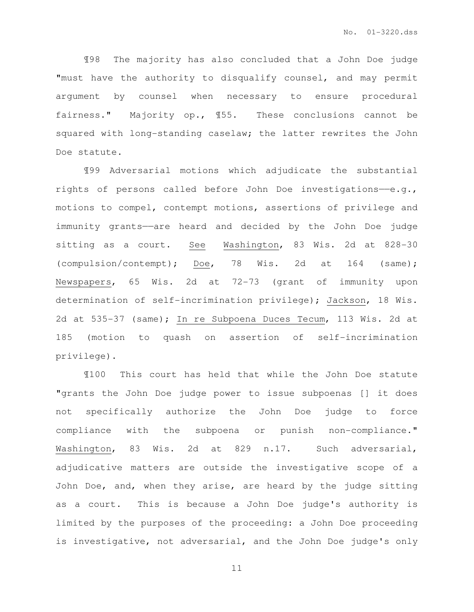¶98 The majority has also concluded that a John Doe judge "must have the authority to disqualify counsel, and may permit argument by counsel when necessary to ensure procedural fairness." Majority op., ¶55. These conclusions cannot be squared with long-standing caselaw; the latter rewrites the John Doe statute.

¶99 Adversarial motions which adjudicate the substantial rights of persons called before John Doe investigations- $-e.q.$ , motions to compel, contempt motions, assertions of privilege and immunity grants——are heard and decided by the John Doe judge sitting as a court. See Washington, 83 Wis. 2d at 828-30 (compulsion/contempt); Doe, 78 Wis. 2d at 164 (same); Newspapers, 65 Wis. 2d at 72-73 (grant of immunity upon determination of self-incrimination privilege); Jackson, 18 Wis. 2d at 535-37 (same); In re Subpoena Duces Tecum, 113 Wis. 2d at 185 (motion to quash on assertion of self-incrimination privilege).

¶100 This court has held that while the John Doe statute "grants the John Doe judge power to issue subpoenas [] it does not specifically authorize the John Doe judge to force compliance with the subpoena or punish non-compliance." Washington, 83 Wis. 2d at 829 n.17. Such adversarial, adjudicative matters are outside the investigative scope of a John Doe, and, when they arise, are heard by the judge sitting as a court. This is because a John Doe judge's authority is limited by the purposes of the proceeding: a John Doe proceeding is investigative, not adversarial, and the John Doe judge's only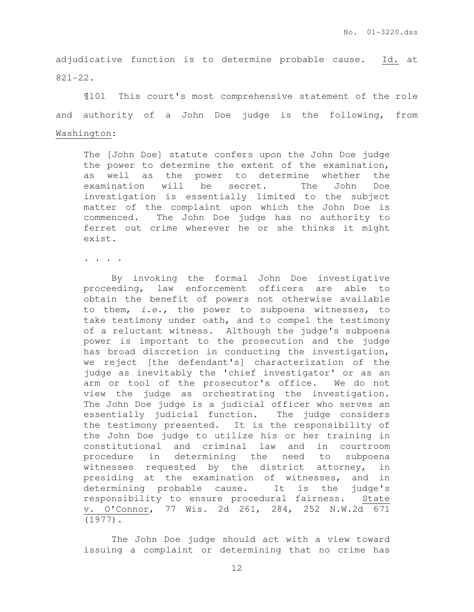adjudicative function is to determine probable cause. Id. at 821-22.

¶101 This court's most comprehensive statement of the role and authority of a John Doe judge is the following, from Washington:

The [John Doe] statute confers upon the John Doe judge the power to determine the extent of the examination, as well as the power to determine whether the examination will be secret. The John Doe investigation is essentially limited to the subject matter of the complaint upon which the John Doe is commenced. The John Doe judge has no authority to ferret out crime wherever he or she thinks it might exist.

. . . .

 By invoking the formal John Doe investigative proceeding, law enforcement officers are able to obtain the benefit of powers not otherwise available to them, i.e., the power to subpoena witnesses, to take testimony under oath, and to compel the testimony of a reluctant witness. Although the judge's subpoena power is important to the prosecution and the judge has broad discretion in conducting the investigation, we reject [the defendant's] characterization of the judge as inevitably the 'chief investigator' or as an arm or tool of the prosecutor's office. We do not view the judge as orchestrating the investigation. The John Doe judge is a judicial officer who serves an essentially judicial function. The judge considers the testimony presented. It is the responsibility of the John Doe judge to utilize his or her training in constitutional and criminal law and in courtroom procedure in determining the need to subpoena witnesses requested by the district attorney, in presiding at the examination of witnesses, and in determining probable cause. It is the judge's responsibility to ensure procedural fairness. State v. O'Connor, 77 Wis. 2d 261, 284, 252 N.W.2d 671 (1977).

The John Doe judge should act with a view toward issuing a complaint or determining that no crime has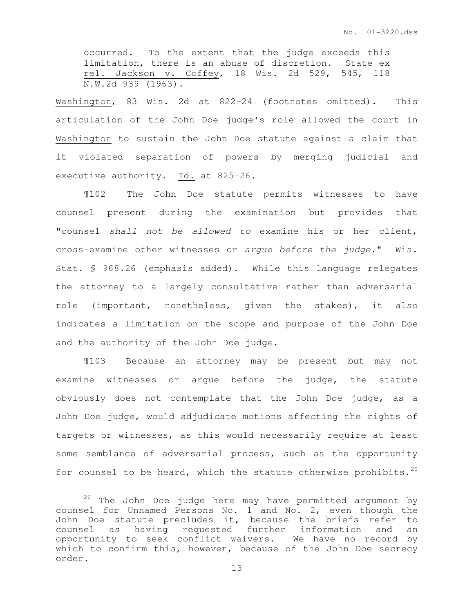occurred. To the extent that the judge exceeds this limitation, there is an abuse of discretion. State ex rel. Jackson v. Coffey, 18 Wis. 2d 529, 545, 118 N.W.2d 939 (1963).

Washington, 83 Wis. 2d at 822-24 (footnotes omitted). This articulation of the John Doe judge's role allowed the court in Washington to sustain the John Doe statute against a claim that it violated separation of powers by merging judicial and executive authority. Id. at 825-26.

 ¶102 The John Doe statute permits witnesses to have counsel present during the examination but provides that "counsel shall not be allowed to examine his or her client, cross-examine other witnesses or argue before the judge." Wis. Stat. § 968.26 (emphasis added). While this language relegates the attorney to a largely consultative rather than adversarial role (important, nonetheless, given the stakes), it also indicates a limitation on the scope and purpose of the John Doe and the authority of the John Doe judge.

¶103 Because an attorney may be present but may not examine witnesses or argue before the judge, the statute obviously does not contemplate that the John Doe judge, as a John Doe judge, would adjudicate motions affecting the rights of targets or witnesses, as this would necessarily require at least some semblance of adversarial process, such as the opportunity for counsel to be heard, which the statute otherwise prohibits.<sup>26</sup>

l.

<sup>26</sup> The John Doe judge here may have permitted argument by counsel for Unnamed Persons No. 1 and No. 2, even though the John Doe statute precludes it, because the briefs refer to counsel as having requested further information and an opportunity to seek conflict waivers. We have no record by which to confirm this, however, because of the John Doe secrecy order.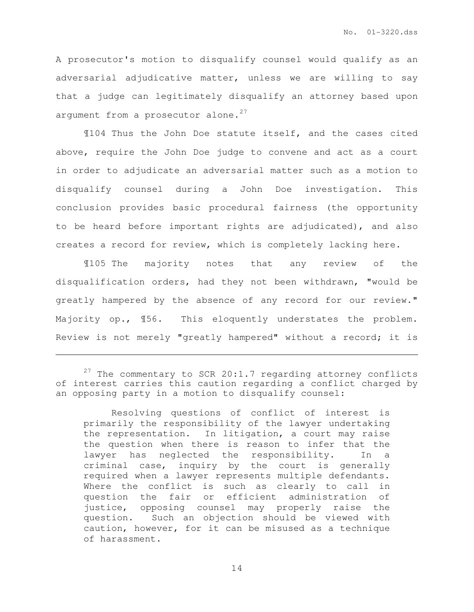A prosecutor's motion to disqualify counsel would qualify as an adversarial adjudicative matter, unless we are willing to say that a judge can legitimately disqualify an attorney based upon argument from a prosecutor alone. $27$ 

¶104 Thus the John Doe statute itself, and the cases cited above, require the John Doe judge to convene and act as a court in order to adjudicate an adversarial matter such as a motion to disqualify counsel during a John Doe investigation. This conclusion provides basic procedural fairness (the opportunity to be heard before important rights are adjudicated), and also creates a record for review, which is completely lacking here.

¶105 The majority notes that any review of the disqualification orders, had they not been withdrawn, "would be greatly hampered by the absence of any record for our review." Majority op., ¶56. This eloquently understates the problem. Review is not merely "greatly hampered" without a record; it is

l.

j.

Resolving questions of conflict of interest is primarily the responsibility of the lawyer undertaking the representation. In litigation, a court may raise the question when there is reason to infer that the lawyer has neglected the responsibility. In a criminal case, inquiry by the court is generally required when a lawyer represents multiple defendants. Where the conflict is such as clearly to call in question the fair or efficient administration of justice, opposing counsel may properly raise the question. Such an objection should be viewed with caution, however, for it can be misused as a technique of harassment.

 $27$  The commentary to SCR 20:1.7 regarding attorney conflicts of interest carries this caution regarding a conflict charged by an opposing party in a motion to disqualify counsel: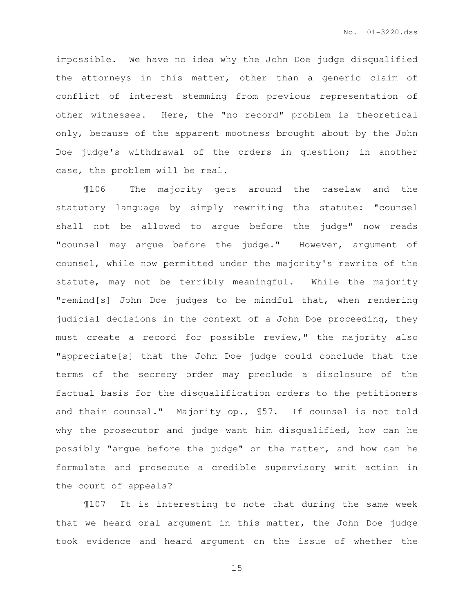impossible. We have no idea why the John Doe judge disqualified the attorneys in this matter, other than a generic claim of conflict of interest stemming from previous representation of other witnesses. Here, the "no record" problem is theoretical only, because of the apparent mootness brought about by the John Doe judge's withdrawal of the orders in question; in another case, the problem will be real.

¶106 The majority gets around the caselaw and the statutory language by simply rewriting the statute: "counsel shall not be allowed to argue before the judge" now reads "counsel may argue before the judge." However, argument of counsel, while now permitted under the majority's rewrite of the statute, may not be terribly meaningful. While the majority "remind[s] John Doe judges to be mindful that, when rendering judicial decisions in the context of a John Doe proceeding, they must create a record for possible review," the majority also "appreciate[s] that the John Doe judge could conclude that the terms of the secrecy order may preclude a disclosure of the factual basis for the disqualification orders to the petitioners and their counsel." Majority op., ¶57. If counsel is not told why the prosecutor and judge want him disqualified, how can he possibly "argue before the judge" on the matter, and how can he formulate and prosecute a credible supervisory writ action in the court of appeals?

¶107 It is interesting to note that during the same week that we heard oral argument in this matter, the John Doe judge took evidence and heard argument on the issue of whether the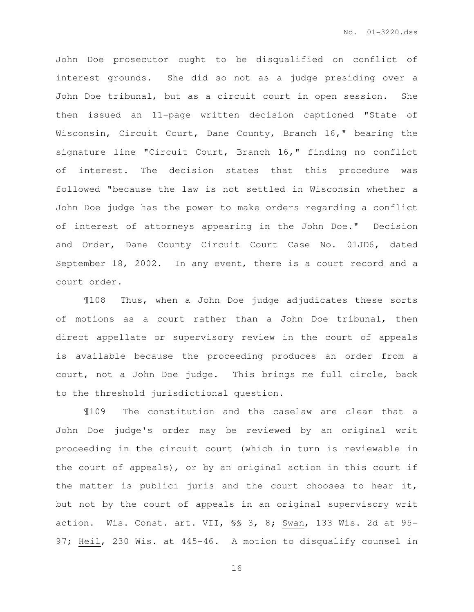John Doe prosecutor ought to be disqualified on conflict of interest grounds. She did so not as a judge presiding over a John Doe tribunal, but as a circuit court in open session. She then issued an 11-page written decision captioned "State of Wisconsin, Circuit Court, Dane County, Branch 16," bearing the signature line "Circuit Court, Branch 16," finding no conflict of interest. The decision states that this procedure was followed "because the law is not settled in Wisconsin whether a John Doe judge has the power to make orders regarding a conflict of interest of attorneys appearing in the John Doe." Decision and Order, Dane County Circuit Court Case No. 01JD6, dated September 18, 2002. In any event, there is a court record and a court order.

¶108 Thus, when a John Doe judge adjudicates these sorts of motions as a court rather than a John Doe tribunal, then direct appellate or supervisory review in the court of appeals is available because the proceeding produces an order from a court, not a John Doe judge. This brings me full circle, back to the threshold jurisdictional question.

¶109 The constitution and the caselaw are clear that a John Doe judge's order may be reviewed by an original writ proceeding in the circuit court (which in turn is reviewable in the court of appeals), or by an original action in this court if the matter is publici juris and the court chooses to hear it, but not by the court of appeals in an original supervisory writ action. Wis. Const. art. VII, §§ 3, 8; Swan, 133 Wis. 2d at 95- 97; Heil, 230 Wis. at 445-46. A motion to disqualify counsel in